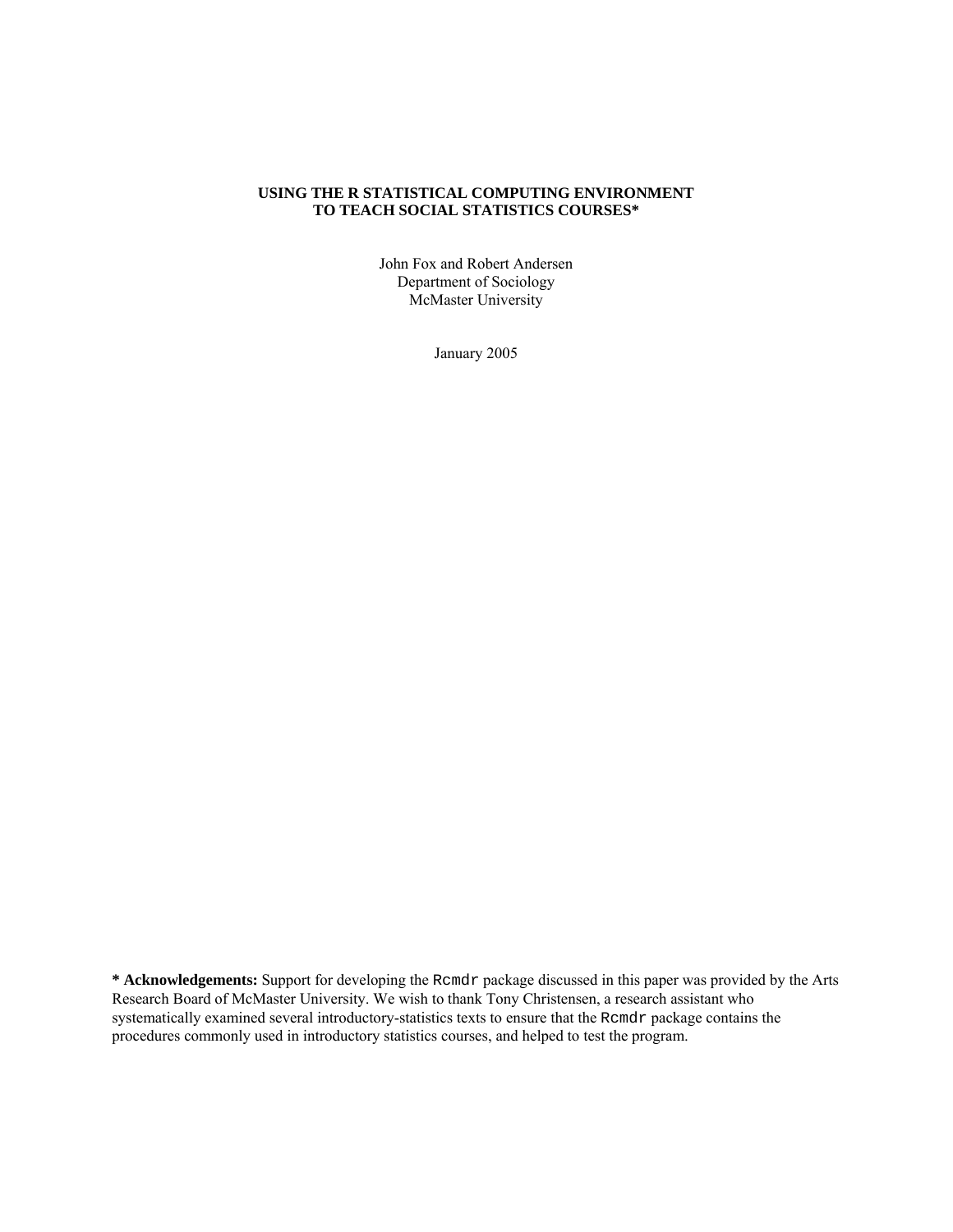## **USING THE R STATISTICAL COMPUTING ENVIRONMENT TO TEACH SOCIAL STATISTICS COURSES\***

John Fox and Robert Andersen Department of Sociology McMaster University

January 2005

**\* Acknowledgements:** Support for developing the Rcmdr package discussed in this paper was provided by the Arts Research Board of McMaster University. We wish to thank Tony Christensen, a research assistant who systematically examined several introductory-statistics texts to ensure that the Rcmdr package contains the procedures commonly used in introductory statistics courses, and helped to test the program.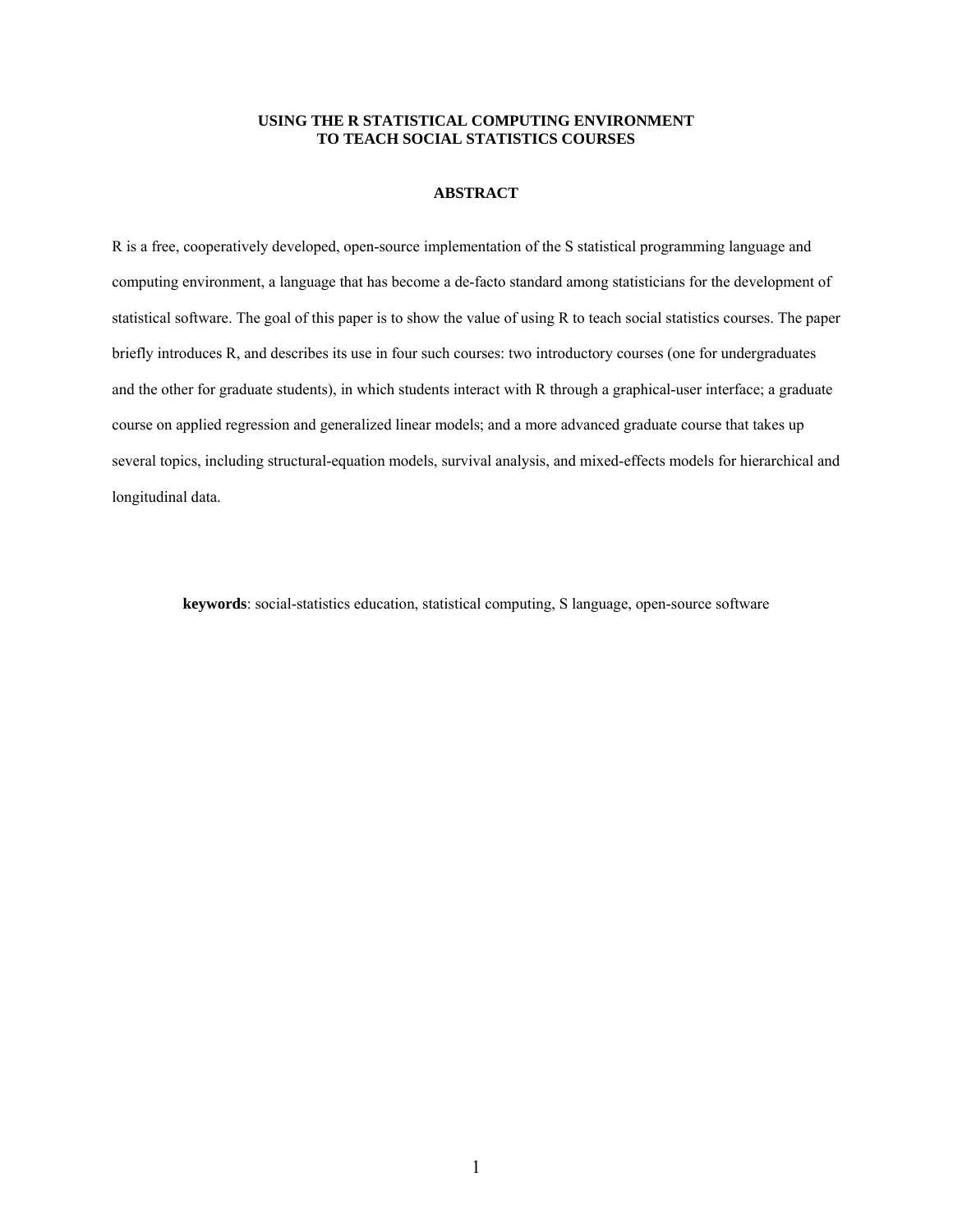## **USING THE R STATISTICAL COMPUTING ENVIRONMENT TO TEACH SOCIAL STATISTICS COURSES**

## **ABSTRACT**

R is a free, cooperatively developed, open-source implementation of the S statistical programming language and computing environment, a language that has become a de-facto standard among statisticians for the development of statistical software. The goal of this paper is to show the value of using R to teach social statistics courses. The paper briefly introduces R, and describes its use in four such courses: two introductory courses (one for undergraduates and the other for graduate students), in which students interact with R through a graphical-user interface; a graduate course on applied regression and generalized linear models; and a more advanced graduate course that takes up several topics, including structural-equation models, survival analysis, and mixed-effects models for hierarchical and longitudinal data.

**keywords**: social-statistics education, statistical computing, S language, open-source software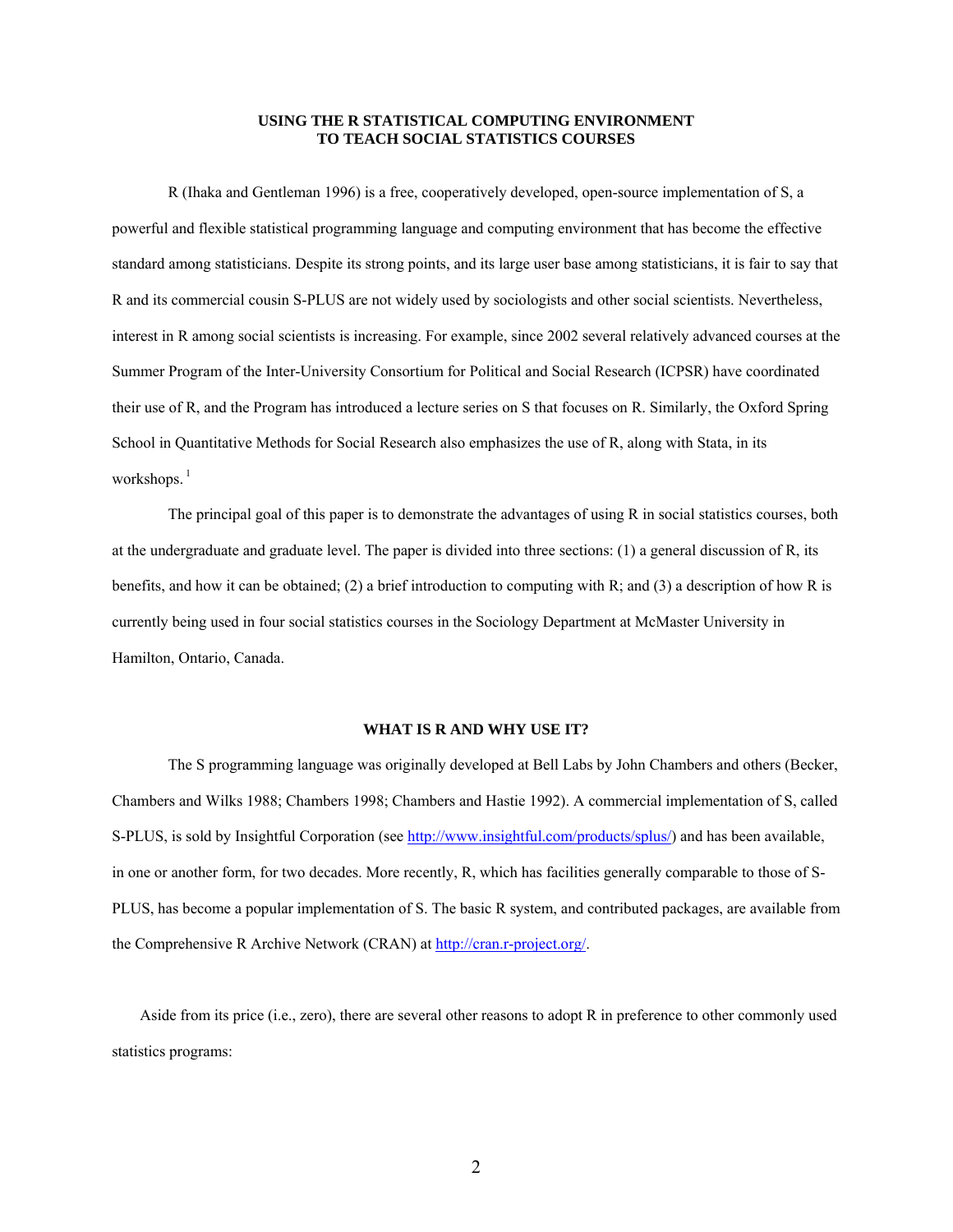## **USING THE R STATISTICAL COMPUTING ENVIRONMENT TO TEACH SOCIAL STATISTICS COURSES**

R (Ihaka and Gentleman 1996) is a free, cooperatively developed, open-source implementation of S, a powerful and flexible statistical programming language and computing environment that has become the effective standard among statisticians. Despite its strong points, and its large user base among statisticians, it is fair to say that R and its commercial cousin S-PLUS are not widely used by sociologists and other social scientists. Nevertheless, interest in R among social scientists is increasing. For example, since 2002 several relatively advanced courses at the Summer Program of the Inter-University Consortium for Political and Social Research (ICPSR) have coordinated their use of R, and the Program has introduced a lecture series on S that focuses on R. Similarly, the Oxford Spring School in Quantitative Methods for Social Research also emphasizes the use of R, along with Stata, in its workshops.<sup>1</sup>

The principal goal of this paper is to demonstrate the advantages of using R in social statistics courses, both at the undergraduate and graduate level. The paper is divided into three sections: (1) a general discussion of R, its benefits, and how it can be obtained; (2) a brief introduction to computing with R; and (3) a description of how R is currently being used in four social statistics courses in the Sociology Department at McMaster University in Hamilton, Ontario, Canada.

#### **WHAT IS R AND WHY USE IT?**

The S programming language was originally developed at Bell Labs by John Chambers and others (Becker, Chambers and Wilks 1988; Chambers 1998; Chambers and Hastie 1992). A commercial implementation of S, called S-PLUS, is sold by Insightful Corporation (see <http://www.insightful.com/products/splus/>) and has been available, in one or another form, for two decades. More recently, R, which has facilities generally comparable to those of S-PLUS, has become a popular implementation of S. The basic R system, and contributed packages, are available from the Comprehensive R Archive Network (CRAN) at [http://cran.r-project.org/.](http://cran.r-project.org/)

Aside from its price (i.e., zero), there are several other reasons to adopt R in preference to other commonly used statistics programs: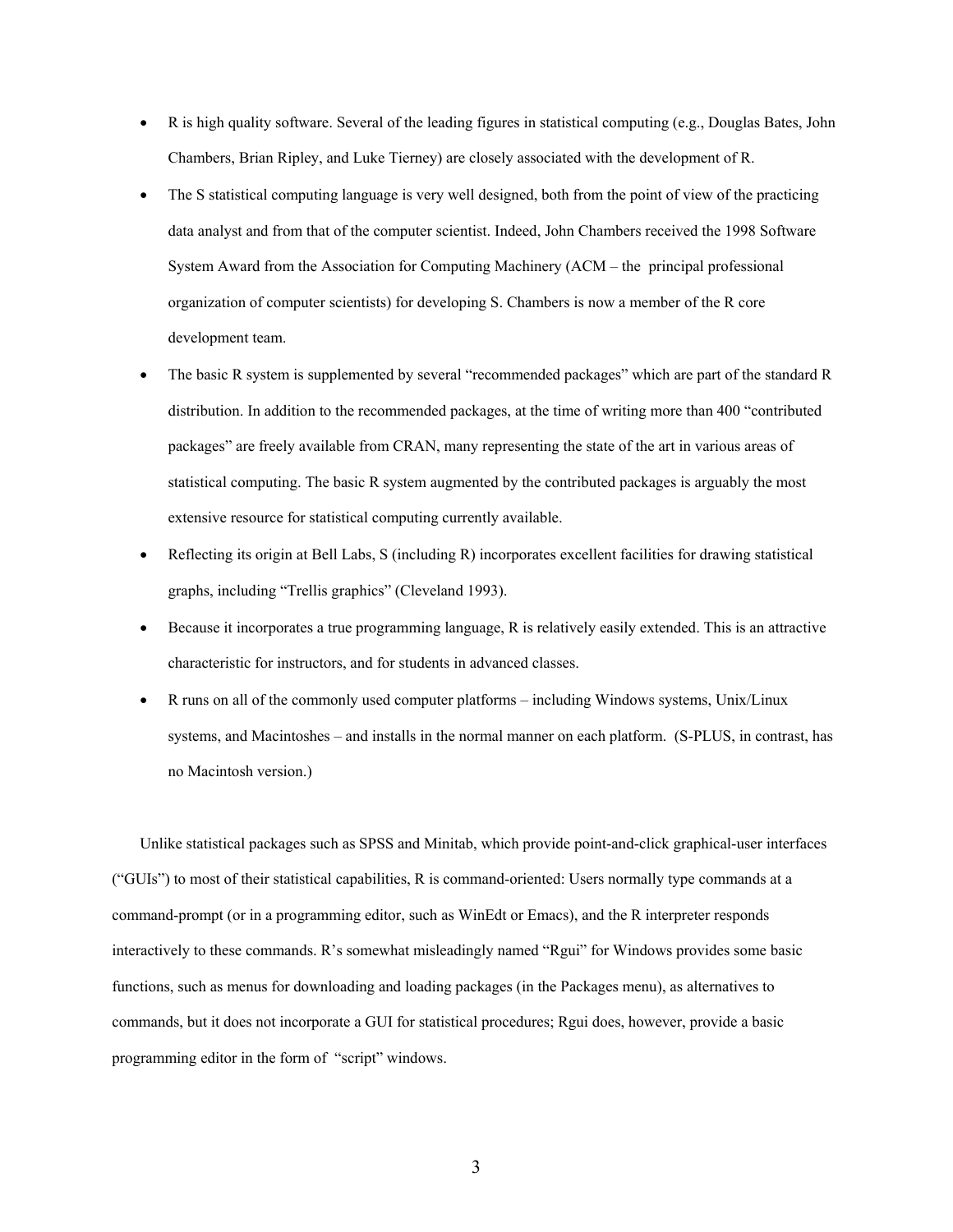- R is high quality software. Several of the leading figures in statistical computing (e.g., Douglas Bates, John Chambers, Brian Ripley, and Luke Tierney) are closely associated with the development of R.
- The S statistical computing language is very well designed, both from the point of view of the practicing data analyst and from that of the computer scientist. Indeed, John Chambers received the 1998 Software System Award from the Association for Computing Machinery (ACM – the principal professional organization of computer scientists) for developing S. Chambers is now a member of the R core development team.
- The basic R system is supplemented by several "recommended packages" which are part of the standard R distribution. In addition to the recommended packages, at the time of writing more than 400 "contributed packages" are freely available from CRAN, many representing the state of the art in various areas of statistical computing. The basic R system augmented by the contributed packages is arguably the most extensive resource for statistical computing currently available.
- Reflecting its origin at Bell Labs, S (including R) incorporates excellent facilities for drawing statistical graphs, including "Trellis graphics" (Cleveland 1993).
- Because it incorporates a true programming language, R is relatively easily extended. This is an attractive characteristic for instructors, and for students in advanced classes.
- R runs on all of the commonly used computer platforms including Windows systems, Unix/Linux systems, and Macintoshes – and installs in the normal manner on each platform. (S-PLUS, in contrast, has no Macintosh version.)

Unlike statistical packages such as SPSS and Minitab, which provide point-and-click graphical-user interfaces ("GUIs") to most of their statistical capabilities, R is command-oriented: Users normally type commands at a command-prompt (or in a programming editor, such as WinEdt or Emacs), and the R interpreter responds interactively to these commands. R's somewhat misleadingly named "Rgui" for Windows provides some basic functions, such as menus for downloading and loading packages (in the Packages menu), as alternatives to commands, but it does not incorporate a GUI for statistical procedures; Rgui does, however, provide a basic programming editor in the form of "script" windows.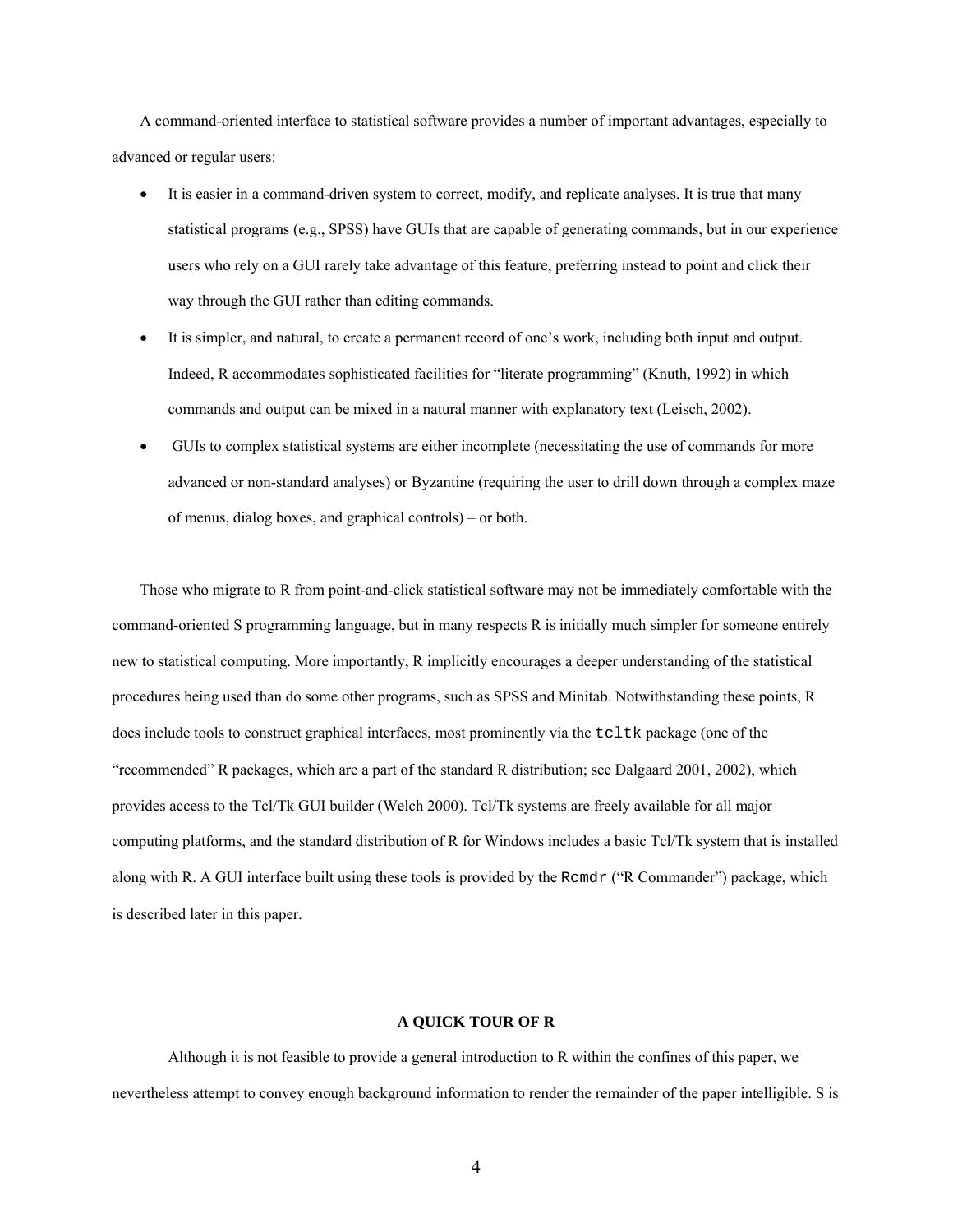A command-oriented interface to statistical software provides a number of important advantages, especially to advanced or regular users:

- It is easier in a command-driven system to correct, modify, and replicate analyses. It is true that many statistical programs (e.g., SPSS) have GUIs that are capable of generating commands, but in our experience users who rely on a GUI rarely take advantage of this feature, preferring instead to point and click their way through the GUI rather than editing commands.
- It is simpler, and natural, to create a permanent record of one's work, including both input and output. Indeed, R accommodates sophisticated facilities for "literate programming" (Knuth, 1992) in which commands and output can be mixed in a natural manner with explanatory text (Leisch, 2002).
- GUIs to complex statistical systems are either incomplete (necessitating the use of commands for more advanced or non-standard analyses) or Byzantine (requiring the user to drill down through a complex maze of menus, dialog boxes, and graphical controls) – or both.

Those who migrate to R from point-and-click statistical software may not be immediately comfortable with the command-oriented S programming language, but in many respects R is initially much simpler for someone entirely new to statistical computing. More importantly, R implicitly encourages a deeper understanding of the statistical procedures being used than do some other programs, such as SPSS and Minitab. Notwithstanding these points, R does include tools to construct graphical interfaces, most prominently via the tcltk package (one of the "recommended" R packages, which are a part of the standard R distribution; see Dalgaard 2001, 2002), which provides access to the Tcl/Tk GUI builder (Welch 2000). Tcl/Tk systems are freely available for all major computing platforms, and the standard distribution of R for Windows includes a basic Tcl/Tk system that is installed along with R. A GUI interface built using these tools is provided by the Rcmdr ("R Commander") package, which is described later in this paper.

## **A QUICK TOUR OF R**

Although it is not feasible to provide a general introduction to R within the confines of this paper, we nevertheless attempt to convey enough background information to render the remainder of the paper intelligible. S is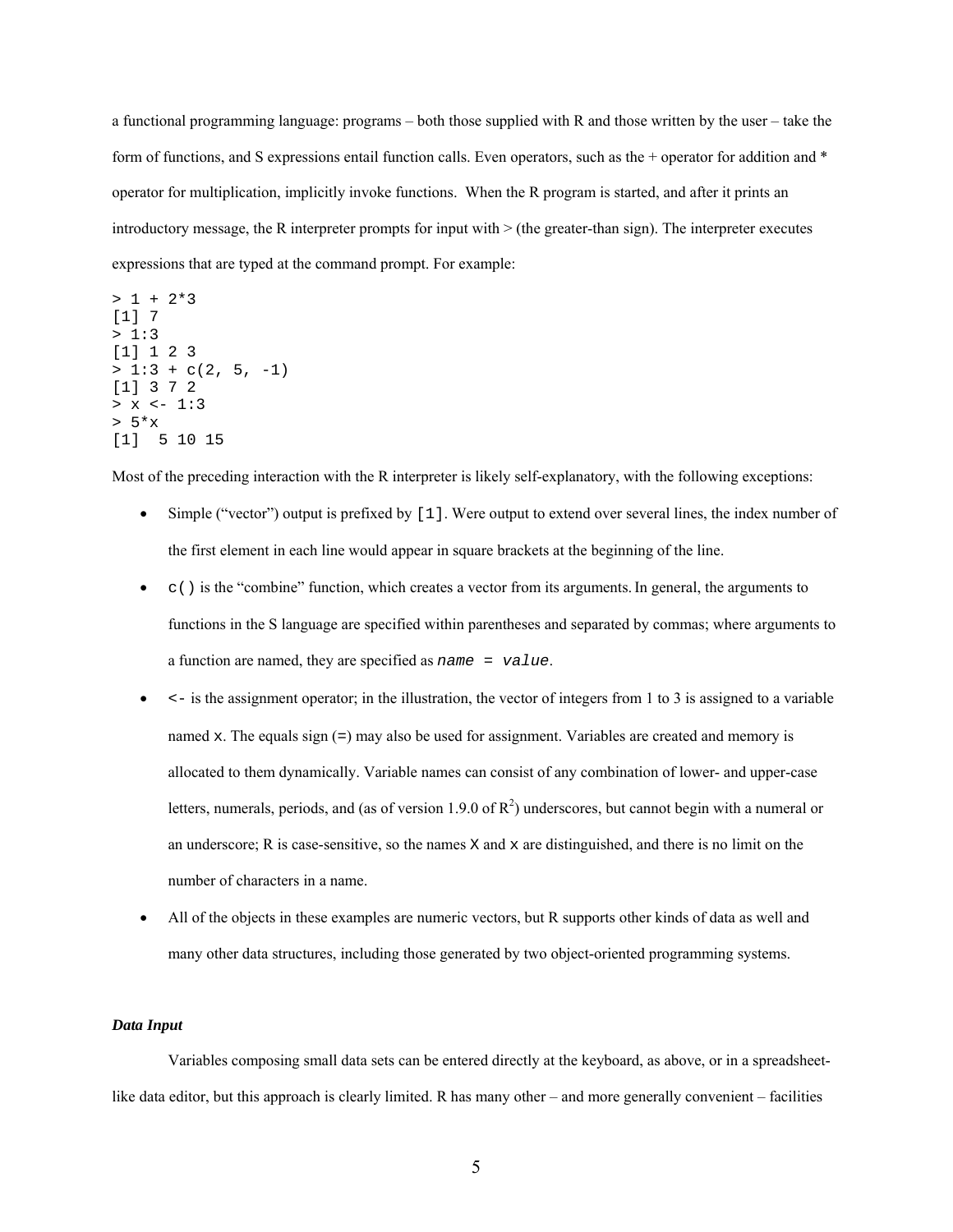a functional programming language: programs – both those supplied with R and those written by the user – take the form of functions, and S expressions entail function calls. Even operators, such as the + operator for addition and \* operator for multiplication, implicitly invoke functions. When the R program is started, and after it prints an introductory message, the R interpreter prompts for input with > (the greater-than sign). The interpreter executes expressions that are typed at the command prompt. For example:

 $> 1 + 2*3$ [1] 7 > 1:3 [1] 1 2 3  $> 1:3 + c(2, 5, -1)$ [1] 3 7 2  $> x < - 1:3$  $> 5 \times x$ [1] 5 10 15

Most of the preceding interaction with the R interpreter is likely self-explanatory, with the following exceptions:

- Simple ("vector") output is prefixed by [1]. Were output to extend over several lines, the index number of the first element in each line would appear in square brackets at the beginning of the line.
- $\bullet$  c() is the "combine" function, which creates a vector from its arguments. In general, the arguments to functions in the S language are specified within parentheses and separated by commas; where arguments to a function are named, they are specified as *name* = *value*.
- $\bullet \quad \text{~ is the assignment operator; in the illustration, the vector of integers from 1 to 3 is assigned to a variable$ named x. The equals sign  $(=)$  may also be used for assignment. Variables are created and memory is allocated to them dynamically. Variable names can consist of any combination of lower- and upper-case letters, numerals, periods, and (as of version 1.9.0 of  $R<sup>2</sup>$  $R<sup>2</sup>$  $R<sup>2</sup>$ ) underscores, but cannot begin with a numeral or an underscore; R is case-sensitive, so the names  $X$  and  $x$  are distinguished, and there is no limit on the number of characters in a name.
- All of the objects in these examples are numeric vectors, but R supports other kinds of data as well and many other data structures, including those generated by two object-oriented programming systems.

## *Data Input*

Variables composing small data sets can be entered directly at the keyboard, as above, or in a spreadsheetlike data editor, but this approach is clearly limited. R has many other – and more generally convenient – facilities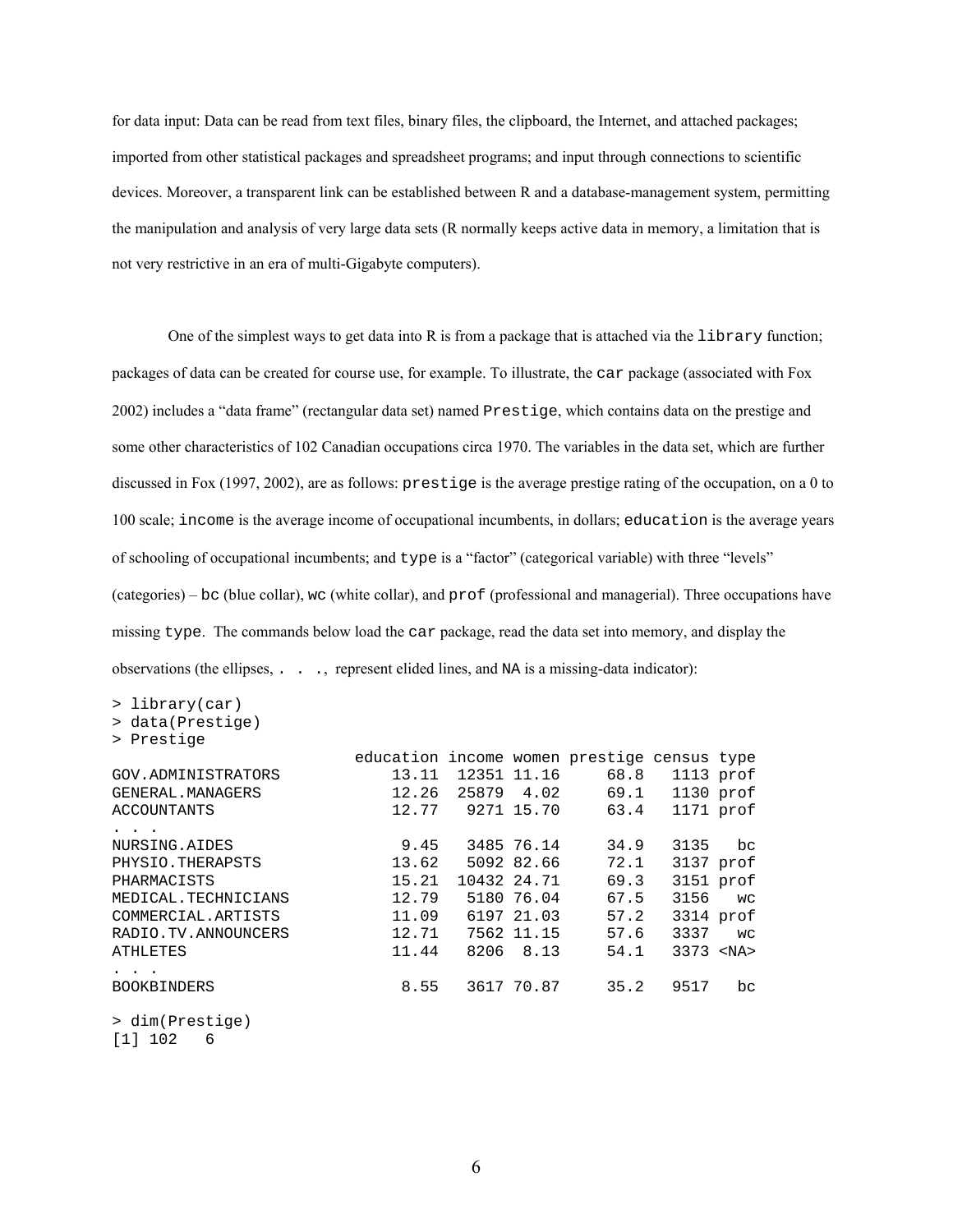for data input: Data can be read from text files, binary files, the clipboard, the Internet, and attached packages; imported from other statistical packages and spreadsheet programs; and input through connections to scientific devices. Moreover, a transparent link can be established between R and a database-management system, permitting the manipulation and analysis of very large data sets (R normally keeps active data in memory, a limitation that is not very restrictive in an era of multi-Gigabyte computers).

One of the simplest ways to get data into R is from a package that is attached via the  $\exists$  ibrary function; packages of data can be created for course use, for example. To illustrate, the car package (associated with Fox 2002) includes a "data frame" (rectangular data set) named Prestige, which contains data on the prestige and some other characteristics of 102 Canadian occupations circa 1970. The variables in the data set, which are further discussed in Fox (1997, 2002), are as follows: prestige is the average prestige rating of the occupation, on a 0 to 100 scale; income is the average income of occupational incumbents, in dollars; education is the average years of schooling of occupational incumbents; and type is a "factor" (categorical variable) with three "levels" (categories) – bc (blue collar), wc (white collar), and prof (professional and managerial). Three occupations have missing type. The commands below load the car package, read the data set into memory, and display the observations (the ellipses, . . ., represent elided lines, and NA is a missing-data indicator):

> library(car) > data(Prestige) > Prestige

|      |                                                                     |                                                                                                                                  | $1113$ prof                     |                                                                                                                             |
|------|---------------------------------------------------------------------|----------------------------------------------------------------------------------------------------------------------------------|---------------------------------|-----------------------------------------------------------------------------------------------------------------------------|
|      |                                                                     |                                                                                                                                  | $1130$ prof                     |                                                                                                                             |
|      |                                                                     |                                                                                                                                  | 1171 prof                       |                                                                                                                             |
|      |                                                                     |                                                                                                                                  |                                 |                                                                                                                             |
|      |                                                                     |                                                                                                                                  | 3135                            | bc                                                                                                                          |
|      |                                                                     |                                                                                                                                  | 3137 prof                       |                                                                                                                             |
|      |                                                                     |                                                                                                                                  | 3151 prof                       |                                                                                                                             |
|      |                                                                     |                                                                                                                                  | 3156                            | <b>WC</b>                                                                                                                   |
|      |                                                                     |                                                                                                                                  | 3314 prof                       |                                                                                                                             |
|      |                                                                     |                                                                                                                                  | 3337                            | <b>WC</b>                                                                                                                   |
|      |                                                                     |                                                                                                                                  | $3373$ <na></na>                |                                                                                                                             |
|      |                                                                     |                                                                                                                                  |                                 |                                                                                                                             |
| 8.55 |                                                                     | 35.2                                                                                                                             | 9517                            | bc                                                                                                                          |
|      |                                                                     |                                                                                                                                  |                                 |                                                                                                                             |
|      |                                                                     |                                                                                                                                  |                                 |                                                                                                                             |
|      | 13.11<br>9.45<br>13.62<br>15.21<br>12.79<br>11.09<br>12.71<br>11.44 | 12.77 9271 15.70<br>3485 76.14<br>5092 82.66<br>10432 24.71<br>5180 76.04<br>6197 21.03<br>7562 11.15<br>8206 8.13<br>3617 70.87 | 12351 11.16<br>12.26 25879 4.02 | education income women prestige census type<br>68.8<br>69.1<br>63.4<br>34.9<br>72.1<br>69.3<br>67.5<br>57.2<br>57.6<br>54.1 |

[1] 102 6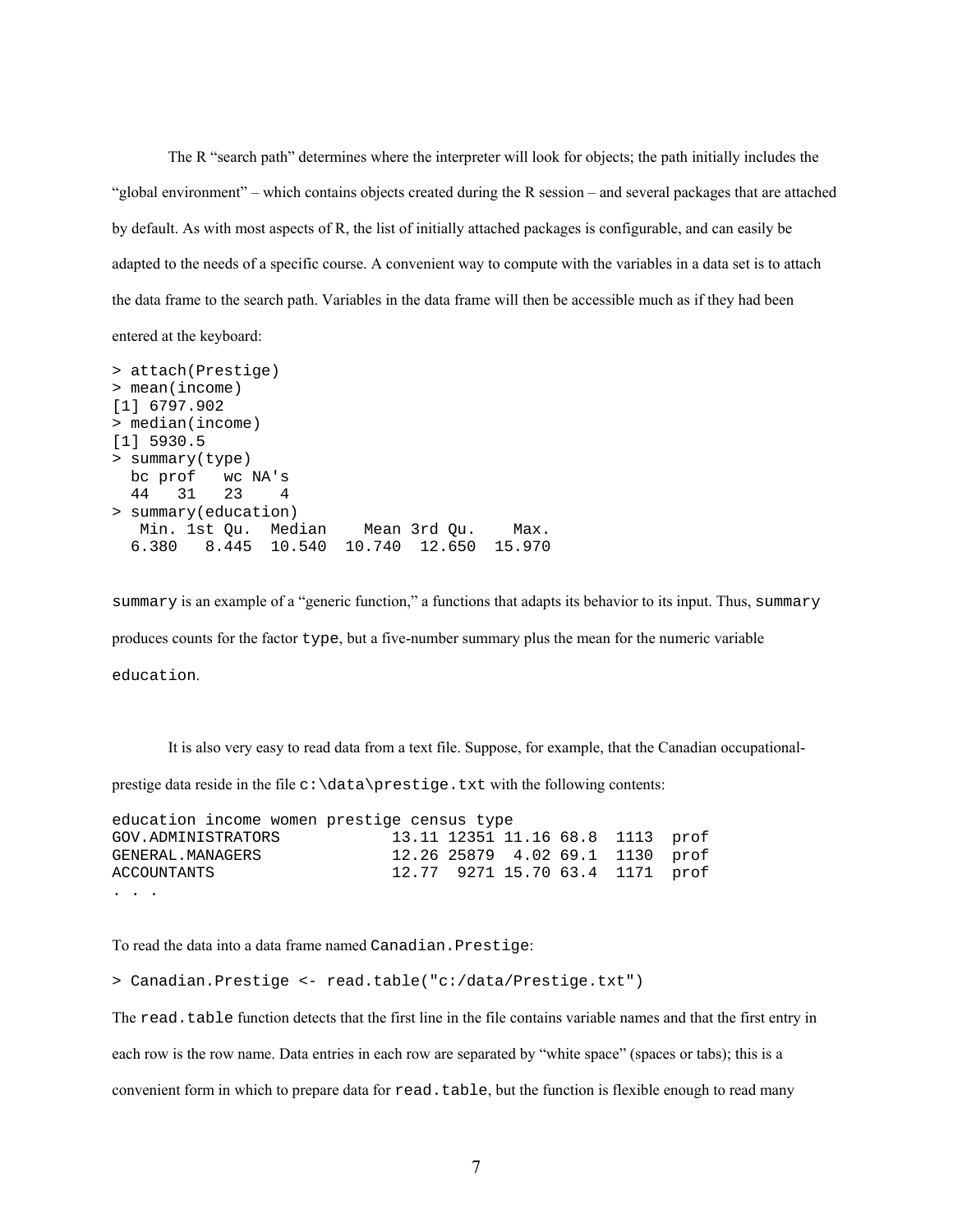The R "search path" determines where the interpreter will look for objects; the path initially includes the "global environment" – which contains objects created during the R session – and several packages that are attached by default. As with most aspects of R, the list of initially attached packages is configurable, and can easily be adapted to the needs of a specific course. A convenient way to compute with the variables in a data set is to attach the data frame to the search path. Variables in the data frame will then be accessible much as if they had been entered at the keyboard:

```
> attach(Prestige) 
> mean(income) 
[1] 6797.902 
> median(income) 
[1] 5930.5 
> summary(type) 
  bc prof wc NA's 
   44 31 23 4 
> summary(education) 
   Min. 1st Qu. Median Mean 3rd Qu. Max. 
   6.380 8.445 10.540 10.740 12.650 15.970
```
summary is an example of a "generic function," a functions that adapts its behavior to its input. Thus, summary produces counts for the factor type, but a five-number summary plus the mean for the numeric variable education.

It is also very easy to read data from a text file. Suppose, for example, that the Canadian occupational-

prestige data reside in the file  $c:\data\preceq.txtx$  with the following contents:

| education income women prestige census type |                                  |  |  |
|---------------------------------------------|----------------------------------|--|--|
| GOV.ADMINISTRATORS                          | 13.11 12351 11.16 68.8 1113 prof |  |  |
| GENERAL.MANAGERS                            | 12.26 25879 4.02 69.1 1130 prof  |  |  |
| ACCOUNTANTS                                 | 12.77 9271 15.70 63.4 1171 prof  |  |  |
| $\cdot$ $\cdot$ $\cdot$                     |                                  |  |  |

To read the data into a data frame named Canadian. Prestige:

> Canadian.Prestige <- read.table("c:/data/Prestige.txt")

The read.table function detects that the first line in the file contains variable names and that the first entry in each row is the row name. Data entries in each row are separated by "white space" (spaces or tabs); this is a convenient form in which to prepare data for read.table, but the function is flexible enough to read many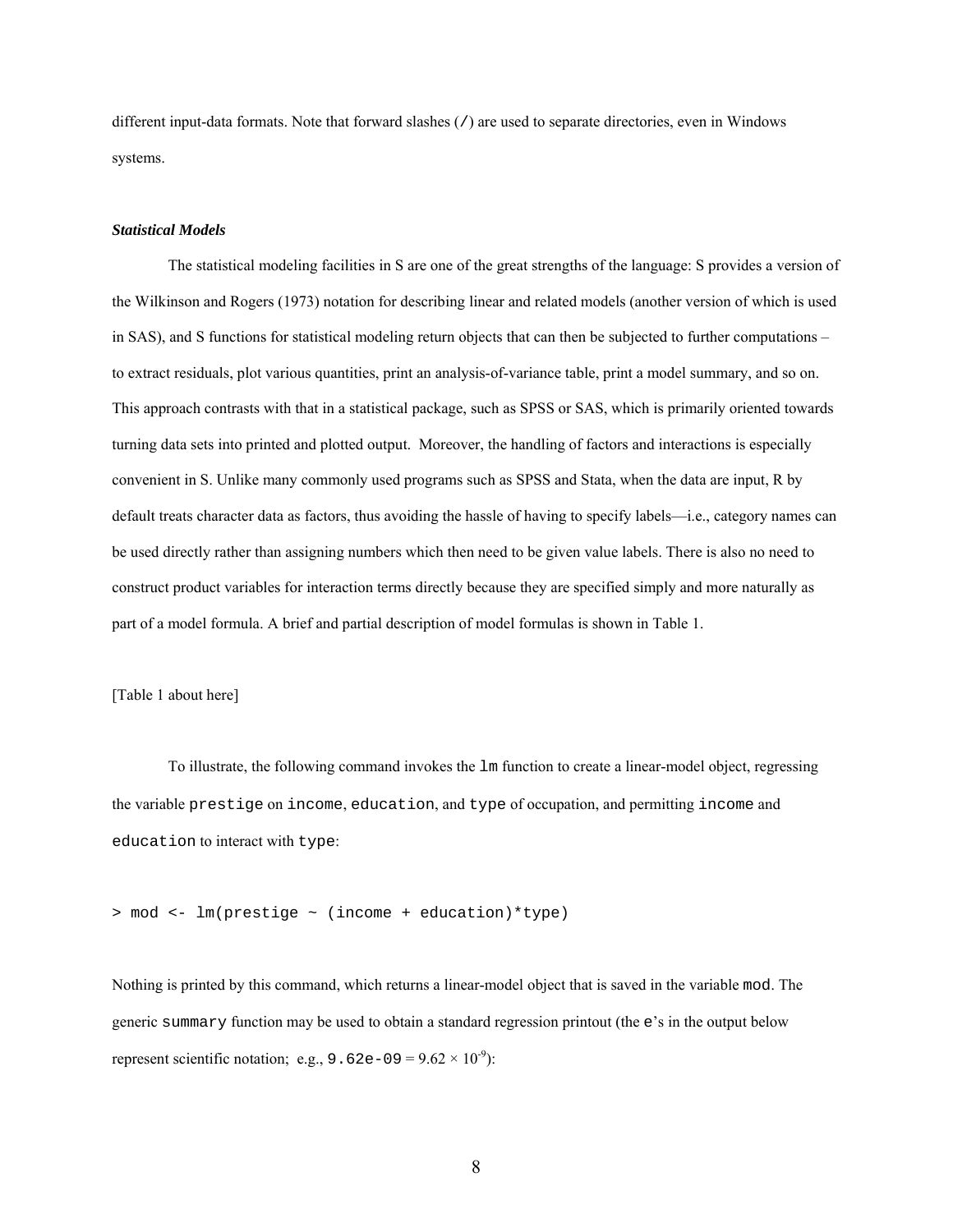different input-data formats. Note that forward slashes (/) are used to separate directories, even in Windows systems.

### *Statistical Models*

The statistical modeling facilities in S are one of the great strengths of the language: S provides a version of the Wilkinson and Rogers (1973) notation for describing linear and related models (another version of which is used in SAS), and S functions for statistical modeling return objects that can then be subjected to further computations – to extract residuals, plot various quantities, print an analysis-of-variance table, print a model summary, and so on. This approach contrasts with that in a statistical package, such as SPSS or SAS, which is primarily oriented towards turning data sets into printed and plotted output. Moreover, the handling of factors and interactions is especially convenient in S. Unlike many commonly used programs such as SPSS and Stata, when the data are input, R by default treats character data as factors, thus avoiding the hassle of having to specify labels—i.e., category names can be used directly rather than assigning numbers which then need to be given value labels. There is also no need to construct product variables for interaction terms directly because they are specified simply and more naturally as part of a model formula. A brief and partial description of model formulas is shown in Table 1.

[Table 1 about here]

To illustrate, the following command invokes the lm function to create a linear-model object, regressing the variable prestige on income, education, and type of occupation, and permitting income and education to interact with type:

> mod <- lm(prestige ~ (income + education)\*type)

Nothing is printed by this command, which returns a linear-model object that is saved in the variable mod. The generic summary function may be used to obtain a standard regression printout (the e's in the output below represent scientific notation; e.g., 9.62e-09 =  $9.62 \times 10^{-9}$ ):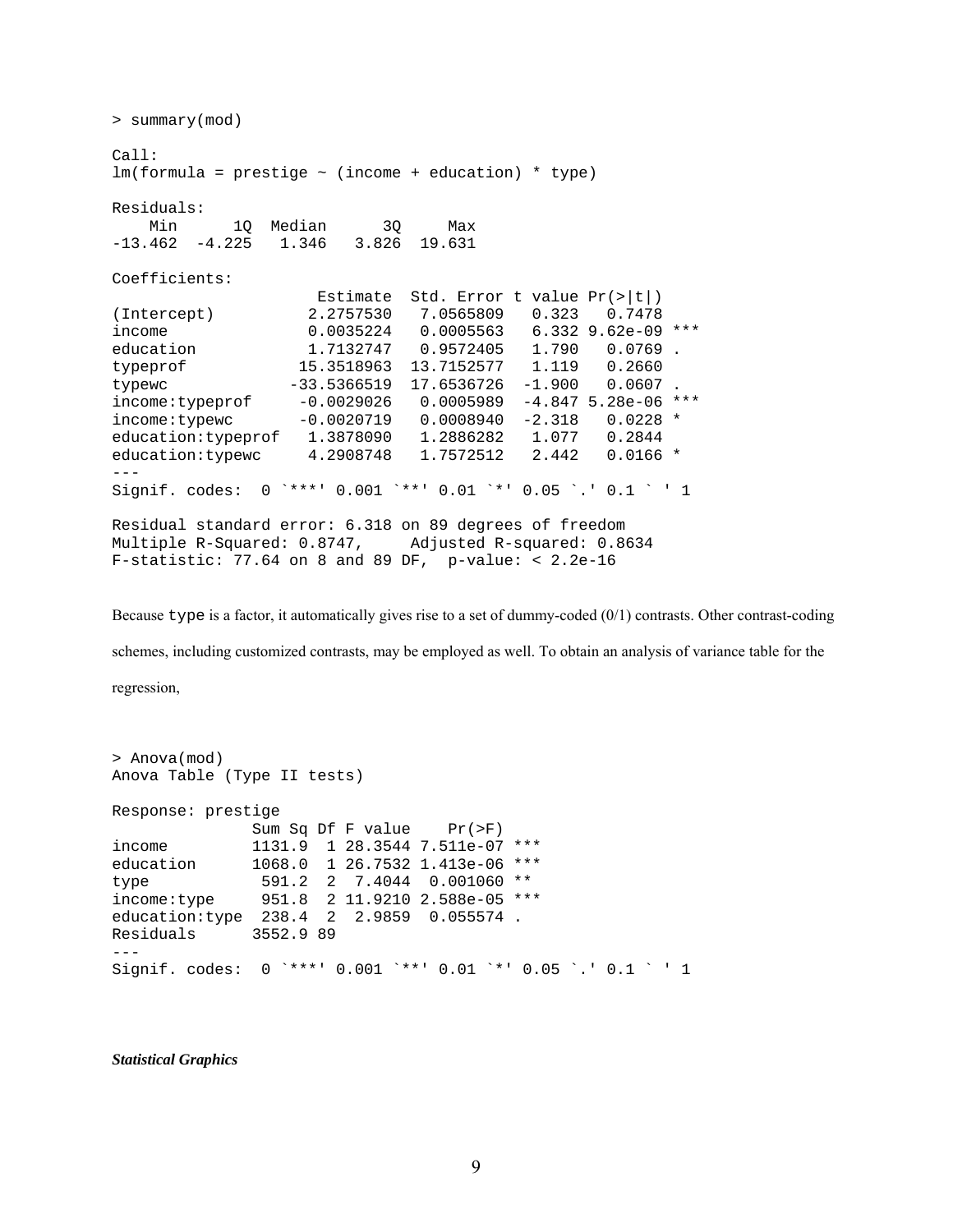> summary(mod) Call:  $lm(formula = prestige ~ (income + education) ~ type)$ Residuals: Min 1Q Median 3Q Max -13.462 -4.225 1.346 3.826 19.631 Coefficients: Estimate Std. Error t value  $Pr(>\vert t \vert)$ (Intercept) 2.2757530 7.0565809 0.323 0.7478 income 0.0035224 0.0005563 6.332 9.62e-09 \*\*\* education 1.7132747 0.9572405 1.790 0.0769.<br>typeprof 15.3518963 13.7152577 1.119 0.2660 typeprof 15.3518963 13.7152577 1.119 0.2660 typewc -33.5366519 17.6536726 -1.900 0.0607 . income:typeprof -0.0029026 0.0005989 -4.847 5.28e-06 \*\*\* income:typewc -0.0020719 0.0008940 -2.318 0.0228 \* education:typeprof 1.3878090 1.2886282 1.077 0.2844 education:typewc 4.2908748 1.7572512 2.442 0.0166 \* --- Signif. codes: 0 `\*\*\*' 0.001 `\*\*' 0.01 `\*' 0.05 `.' 0.1 ` ' 1 Residual standard error: 6.318 on 89 degrees of freedom Multiple R-Squared: 0.8747, Adjusted R-squared: 0.8634 F-statistic: 77.64 on 8 and 89 DF, p-value: < 2.2e-16

Because type is a factor, it automatically gives rise to a set of dummy-coded  $(0/1)$  contrasts. Other contrast-coding schemes, including customized contrasts, may be employed as well. To obtain an analysis of variance table for the regression,

```
> Anova(mod) 
Anova Table (Type II tests) 
Response: prestige 
                Sum Sq Df F value Pr(>F)
income 1131.9 1 28.3544 7.511e-07 ***<br>education 1068.0 1 26.7532 1.413e-06 ***
               education 1068.0 1 26.7532 1.413e-06 *** 
type 591.2 2 7.4044 0.001060 **
income:type 951.8 2 11.9210 2.588e-05 *** 
education:type 238.4 2 2.9859 0.055574 . 
Residuals 3552.9 89 
--- 
Signif. codes: 0 `***' 0.001 `**' 0.01 `*' 0.05 `.' 0.1 ` ' 1
```
*Statistical Graphics*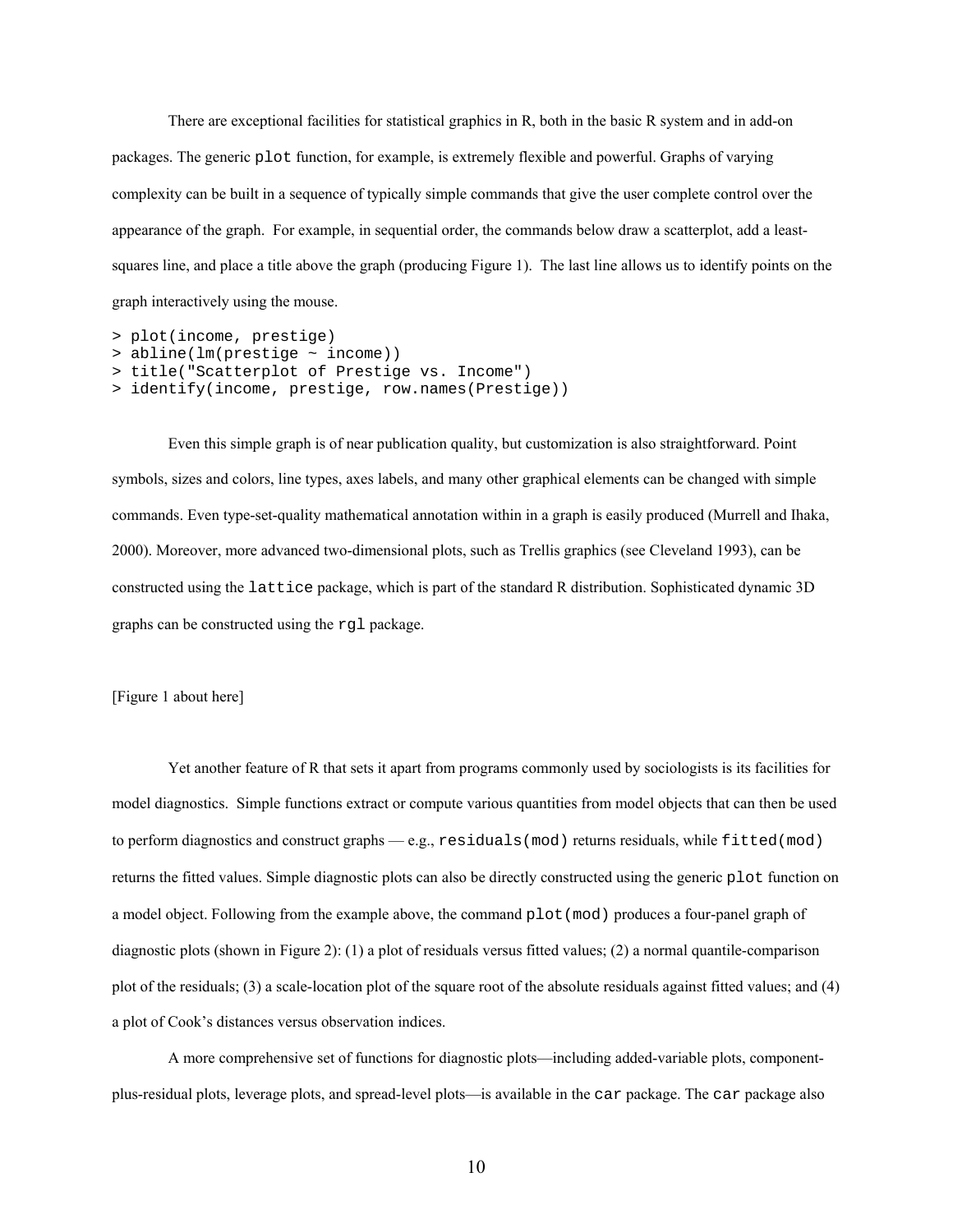There are exceptional facilities for statistical graphics in R, both in the basic R system and in add-on packages. The generic plot function, for example, is extremely flexible and powerful. Graphs of varying complexity can be built in a sequence of typically simple commands that give the user complete control over the appearance of the graph. For example, in sequential order, the commands below draw a scatterplot, add a leastsquares line, and place a title above the graph (producing Figure 1). The last line allows us to identify points on the graph interactively using the mouse.

```
> plot(income, prestige) 
> abline(lm(prestige ~ income)) 
> title("Scatterplot of Prestige vs. Income") 
> identify(income, prestige, row.names(Prestige))
```
Even this simple graph is of near publication quality, but customization is also straightforward. Point symbols, sizes and colors, line types, axes labels, and many other graphical elements can be changed with simple commands. Even type-set-quality mathematical annotation within in a graph is easily produced (Murrell and Ihaka, 2000). Moreover, more advanced two-dimensional plots, such as Trellis graphics (see Cleveland 1993), can be constructed using the lattice package, which is part of the standard R distribution. Sophisticated dynamic 3D graphs can be constructed using the rgl package.

#### [Figure 1 about here]

Yet another feature of R that sets it apart from programs commonly used by sociologists is its facilities for model diagnostics. Simple functions extract or compute various quantities from model objects that can then be used to perform diagnostics and construct graphs - e.g., residuals (mod) returns residuals, while fitted (mod) returns the fitted values. Simple diagnostic plots can also be directly constructed using the generic plot function on a model object. Following from the example above, the command  $p$ lot (mod) produces a four-panel graph of diagnostic plots (shown in Figure 2): (1) a plot of residuals versus fitted values; (2) a normal quantile-comparison plot of the residuals; (3) a scale-location plot of the square root of the absolute residuals against fitted values; and (4) a plot of Cook's distances versus observation indices.

A more comprehensive set of functions for diagnostic plots—including added-variable plots, componentplus-residual plots, leverage plots, and spread-level plots—is available in the car package. The car package also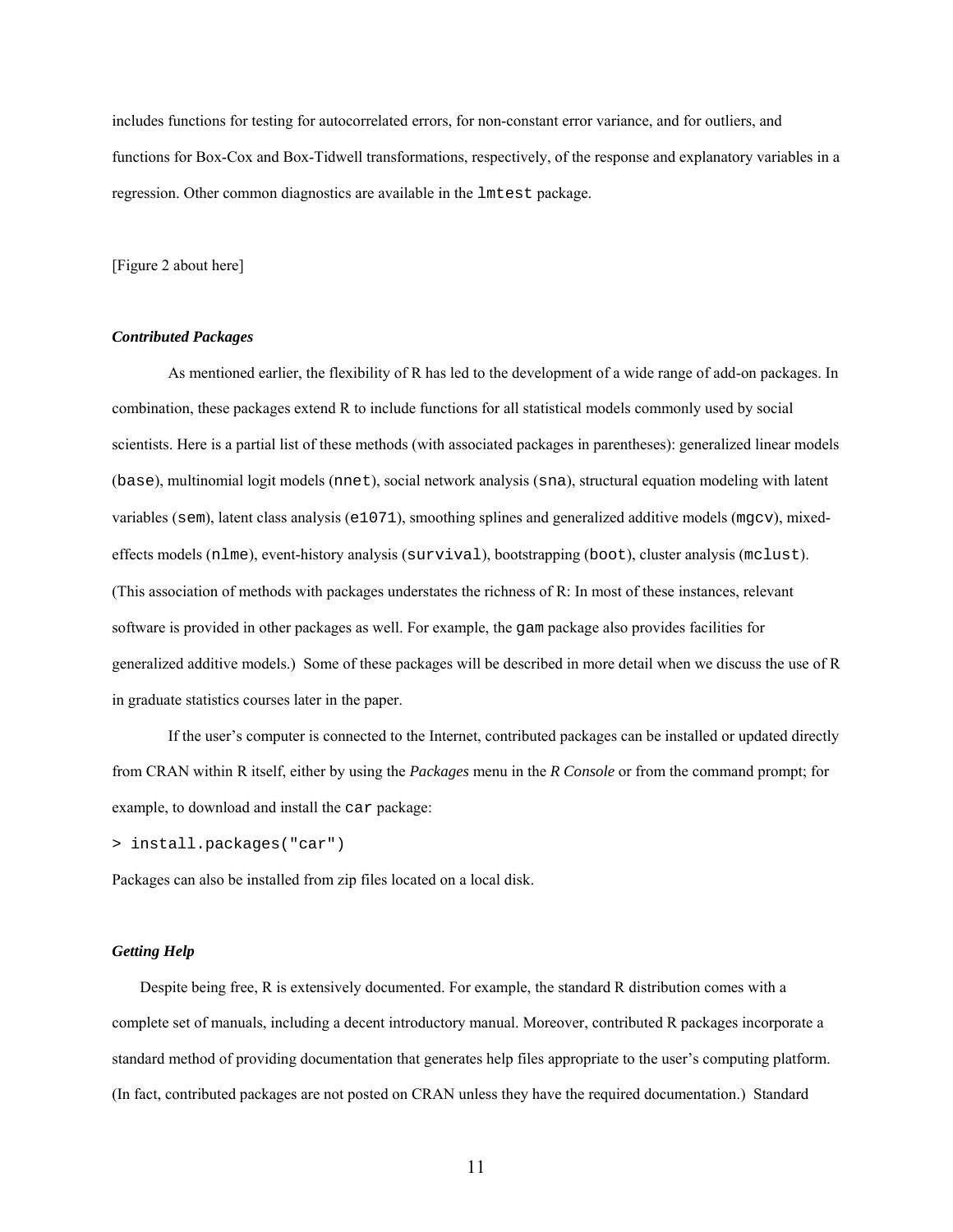includes functions for testing for autocorrelated errors, for non-constant error variance, and for outliers, and functions for Box-Cox and Box-Tidwell transformations, respectively, of the response and explanatory variables in a regression. Other common diagnostics are available in the lmtest package.

[Figure 2 about here]

### *Contributed Packages*

As mentioned earlier, the flexibility of R has led to the development of a wide range of add-on packages. In combination, these packages extend R to include functions for all statistical models commonly used by social scientists. Here is a partial list of these methods (with associated packages in parentheses): generalized linear models (base), multinomial logit models (nnet), social network analysis (sna), structural equation modeling with latent variables (sem), latent class analysis (e1071), smoothing splines and generalized additive models (mqcv), mixedeffects models (nlme), event-history analysis (survival), bootstrapping (boot), cluster analysis (mclust). (This association of methods with packages understates the richness of R: In most of these instances, relevant software is provided in other packages as well. For example, the gam package also provides facilities for generalized additive models.) Some of these packages will be described in more detail when we discuss the use of R in graduate statistics courses later in the paper.

If the user's computer is connected to the Internet, contributed packages can be installed or updated directly from CRAN within R itself, either by using the *Packages* menu in the *R Console* or from the command prompt; for example, to download and install the car package:

> install.packages("car")

Packages can also be installed from zip files located on a local disk.

#### *Getting Help*

Despite being free, R is extensively documented. For example, the standard R distribution comes with a complete set of manuals, including a decent introductory manual. Moreover, contributed R packages incorporate a standard method of providing documentation that generates help files appropriate to the user's computing platform. (In fact, contributed packages are not posted on CRAN unless they have the required documentation.) Standard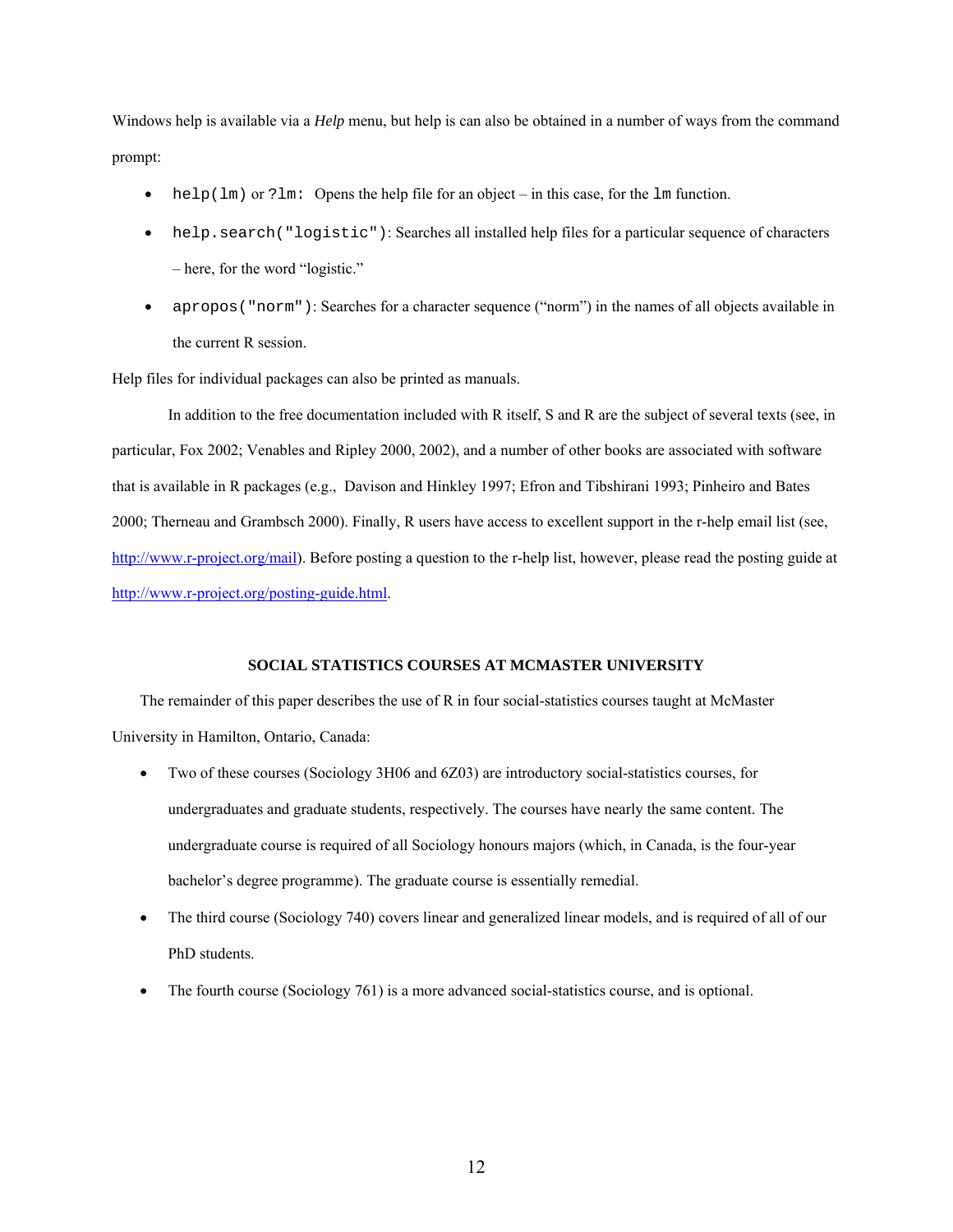Windows help is available via a *Help* menu, but help is can also be obtained in a number of ways from the command prompt:

- help( $lm$ ) or ? $lm$ : Opens the help file for an object in this case, for the  $lm$  function.
- help.search("logistic"): Searches all installed help files for a particular sequence of characters – here, for the word "logistic."
- apropos ("norm"): Searches for a character sequence ("norm") in the names of all objects available in the current R session.

Help files for individual packages can also be printed as manuals.

In addition to the free documentation included with R itself, S and R are the subject of several texts (see, in particular, Fox 2002; Venables and Ripley 2000, 2002), and a number of other books are associated with software that is available in R packages (e.g., Davison and Hinkley 1997; Efron and Tibshirani 1993; Pinheiro and Bates 2000; Therneau and Grambsch 2000). Finally, R users have access to excellent support in the r-help email list (see, [http://www.r-project.org/mail\)](http://www.r-project.org/mail). Before posting a question to the r-help list, however, please read the posting guide at [http://www.r-project.org/posting-guide.html.](http://www.r-project.org/posting-guide.html)

## **SOCIAL STATISTICS COURSES AT MCMASTER UNIVERSITY**

The remainder of this paper describes the use of R in four social-statistics courses taught at McMaster University in Hamilton, Ontario, Canada:

- Two of these courses (Sociology 3H06 and 6Z03) are introductory social-statistics courses, for undergraduates and graduate students, respectively. The courses have nearly the same content. The undergraduate course is required of all Sociology honours majors (which, in Canada, is the four-year bachelor's degree programme). The graduate course is essentially remedial.
- The third course (Sociology 740) covers linear and generalized linear models, and is required of all of our PhD students.
- The fourth course (Sociology 761) is a more advanced social-statistics course, and is optional.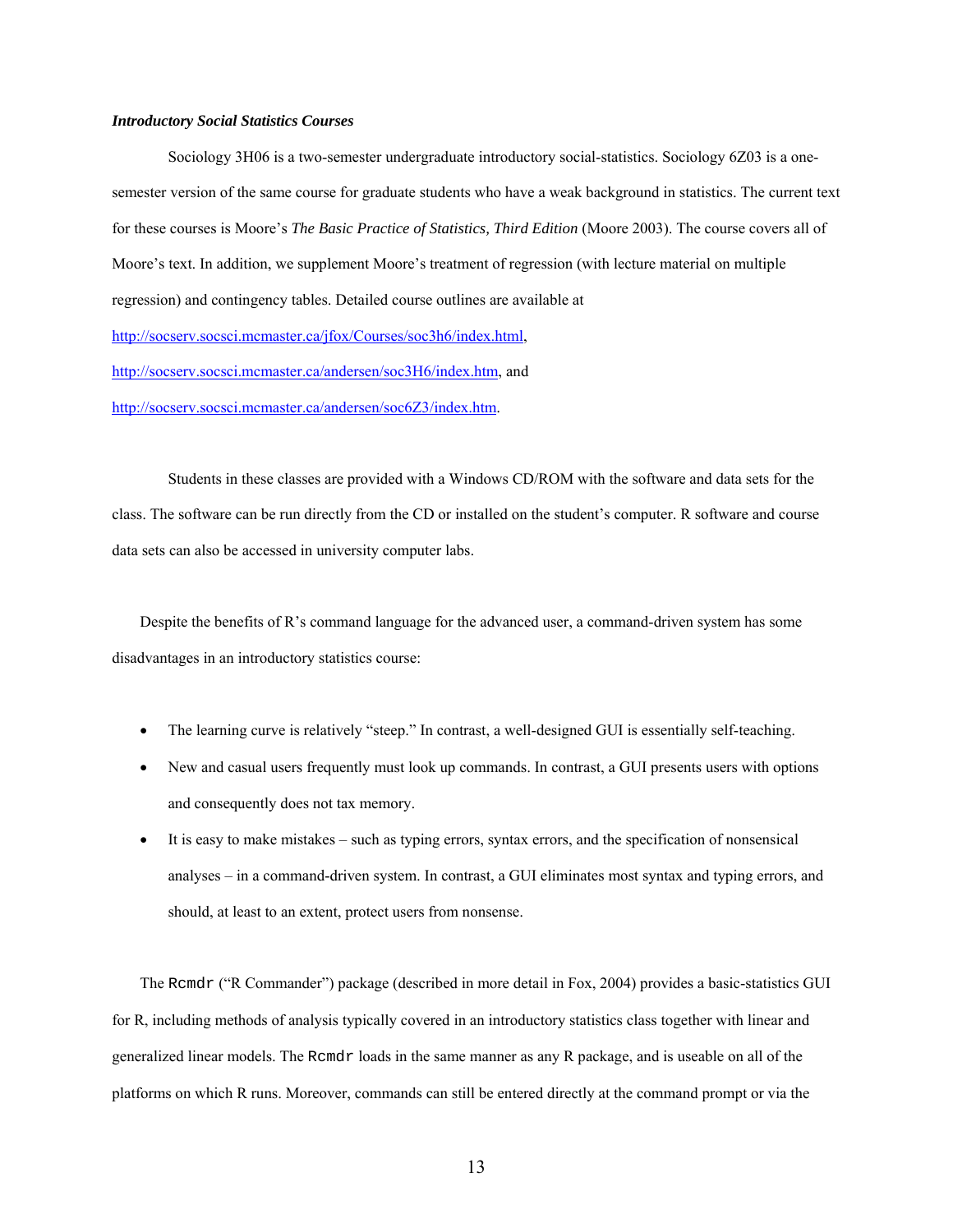#### *Introductory Social Statistics Courses*

Sociology 3H06 is a two-semester undergraduate introductory social-statistics. Sociology 6Z03 is a onesemester version of the same course for graduate students who have a weak background in statistics. The current text for these courses is Moore's *The Basic Practice of Statistics, Third Edition* (Moore 2003). The course covers all of Moore's text. In addition, we supplement Moore's treatment of regression (with lecture material on multiple regression) and contingency tables. Detailed course outlines are available at <http://socserv.socsci.mcmaster.ca/jfox/Courses/soc3h6/index.html>, <http://socserv.socsci.mcmaster.ca/andersen/soc3H6/index.htm>, and <http://socserv.socsci.mcmaster.ca/andersen/soc6Z3/index.htm>.

Students in these classes are provided with a Windows CD/ROM with the software and data sets for the class. The software can be run directly from the CD or installed on the student's computer. R software and course data sets can also be accessed in university computer labs.

Despite the benefits of R's command language for the advanced user, a command-driven system has some disadvantages in an introductory statistics course:

- The learning curve is relatively "steep." In contrast, a well-designed GUI is essentially self-teaching.
- New and casual users frequently must look up commands. In contrast, a GUI presents users with options and consequently does not tax memory.
- It is easy to make mistakes such as typing errors, syntax errors, and the specification of nonsensical analyses – in a command-driven system. In contrast, a GUI eliminates most syntax and typing errors, and should, at least to an extent, protect users from nonsense.

The Rcmdr ("R Commander") package (described in more detail in Fox, 2004) provides a basic-statistics GUI for R, including methods of analysis typically covered in an introductory statistics class together with linear and generalized linear models. The Rcmdr loads in the same manner as any R package, and is useable on all of the platforms on which R runs. Moreover, commands can still be entered directly at the command prompt or via the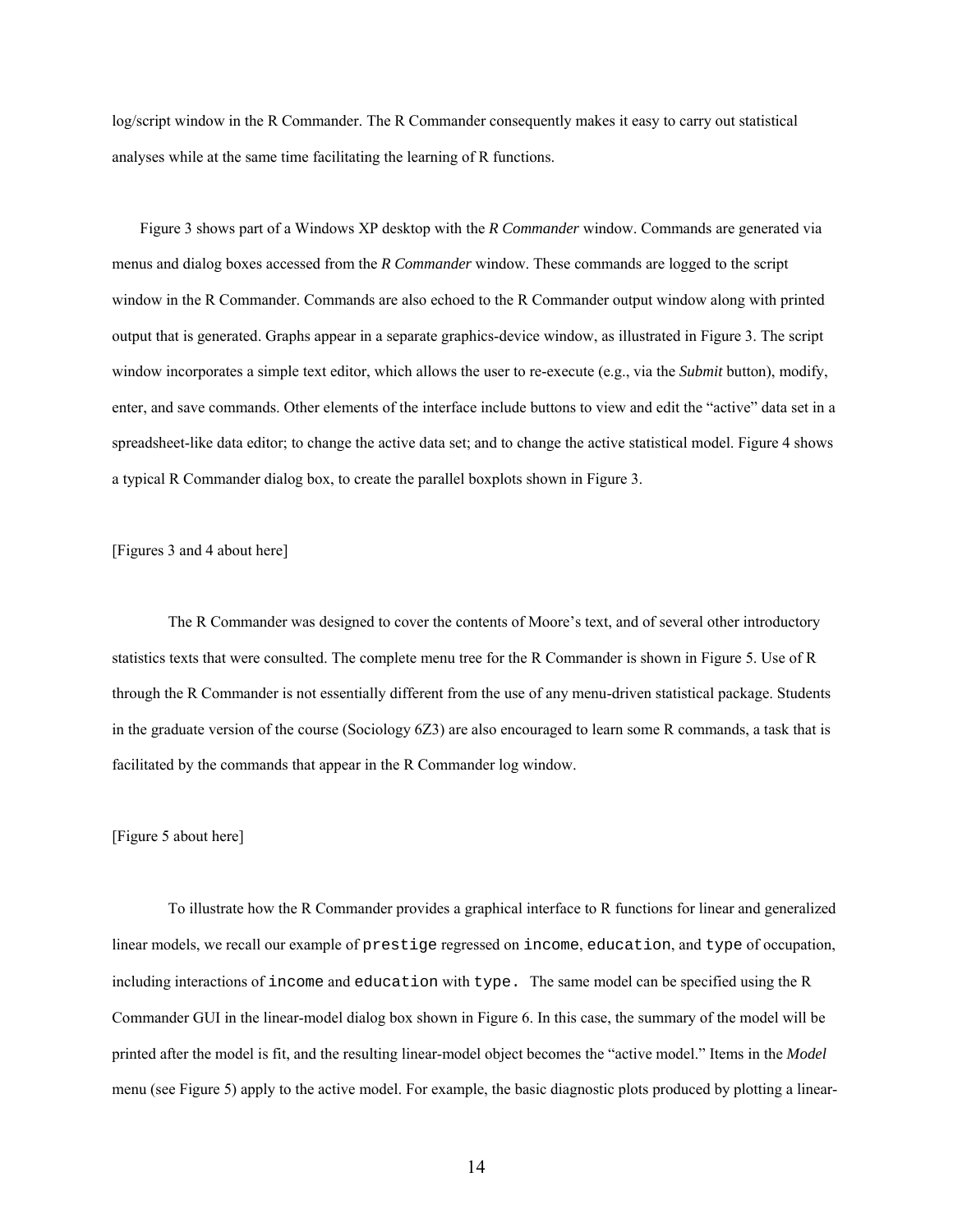log/script window in the R Commander. The R Commander consequently makes it easy to carry out statistical analyses while at the same time facilitating the learning of R functions.

Figure 3 shows part of a Windows XP desktop with the *R Commander* window. Commands are generated via menus and dialog boxes accessed from the *R Commander* window. These commands are logged to the script window in the R Commander. Commands are also echoed to the R Commander output window along with printed output that is generated. Graphs appear in a separate graphics-device window, as illustrated in Figure 3. The script window incorporates a simple text editor, which allows the user to re-execute (e.g., via the *Submit* button), modify, enter, and save commands. Other elements of the interface include buttons to view and edit the "active" data set in a spreadsheet-like data editor; to change the active data set; and to change the active statistical model. Figure 4 shows a typical R Commander dialog box, to create the parallel boxplots shown in Figure 3.

[Figures 3 and 4 about here]

The R Commander was designed to cover the contents of Moore's text, and of several other introductory statistics texts that were consulted. The complete menu tree for the R Commander is shown in Figure 5. Use of R through the R Commander is not essentially different from the use of any menu-driven statistical package. Students in the graduate version of the course (Sociology 6Z3) are also encouraged to learn some R commands, a task that is facilitated by the commands that appear in the R Commander log window.

#### [Figure 5 about here]

To illustrate how the R Commander provides a graphical interface to R functions for linear and generalized linear models, we recall our example of prestige regressed on income, education, and type of occupation, including interactions of income and education with type. The same model can be specified using the R Commander GUI in the linear-model dialog box shown in Figure 6. In this case, the summary of the model will be printed after the model is fit, and the resulting linear-model object becomes the "active model." Items in the *Model* menu (see Figure 5) apply to the active model. For example, the basic diagnostic plots produced by plotting a linear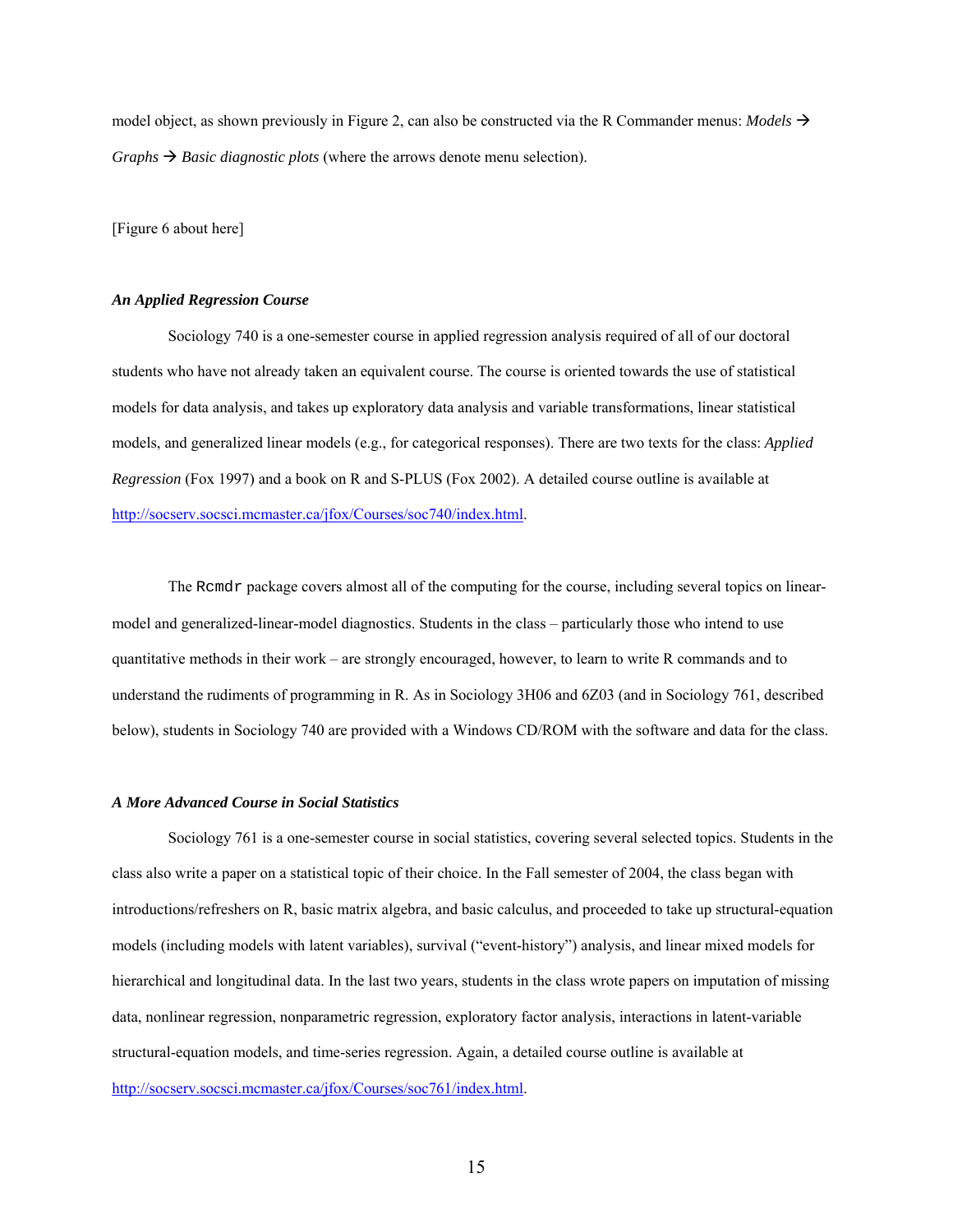model object, as shown previously in Figure 2, can also be constructed via the R Commander menus: *Models*  $\rightarrow$ *Graphs*  $\rightarrow$  *Basic diagnostic plots* (where the arrows denote menu selection).

[Figure 6 about here]

## *An Applied Regression Course*

Sociology 740 is a one-semester course in applied regression analysis required of all of our doctoral students who have not already taken an equivalent course. The course is oriented towards the use of statistical models for data analysis, and takes up exploratory data analysis and variable transformations, linear statistical models, and generalized linear models (e.g., for categorical responses). There are two texts for the class: *Applied Regression* (Fox 1997) and a book on R and S-PLUS (Fox 2002). A detailed course outline is available at <http://socserv.socsci.mcmaster.ca/jfox/Courses/soc740/index.html>.

The Rcmdr package covers almost all of the computing for the course, including several topics on linearmodel and generalized-linear-model diagnostics. Students in the class – particularly those who intend to use quantitative methods in their work – are strongly encouraged, however, to learn to write R commands and to understand the rudiments of programming in R. As in Sociology 3H06 and 6Z03 (and in Sociology 761, described below), students in Sociology 740 are provided with a Windows CD/ROM with the software and data for the class.

#### *A More Advanced Course in Social Statistics*

Sociology 761 is a one-semester course in social statistics, covering several selected topics. Students in the class also write a paper on a statistical topic of their choice. In the Fall semester of 2004, the class began with introductions/refreshers on R, basic matrix algebra, and basic calculus, and proceeded to take up structural-equation models (including models with latent variables), survival ("event-history") analysis, and linear mixed models for hierarchical and longitudinal data. In the last two years, students in the class wrote papers on imputation of missing data, nonlinear regression, nonparametric regression, exploratory factor analysis, interactions in latent-variable structural-equation models, and time-series regression. Again, a detailed course outline is available at <http://socserv.socsci.mcmaster.ca/jfox/Courses/soc761/index.html>.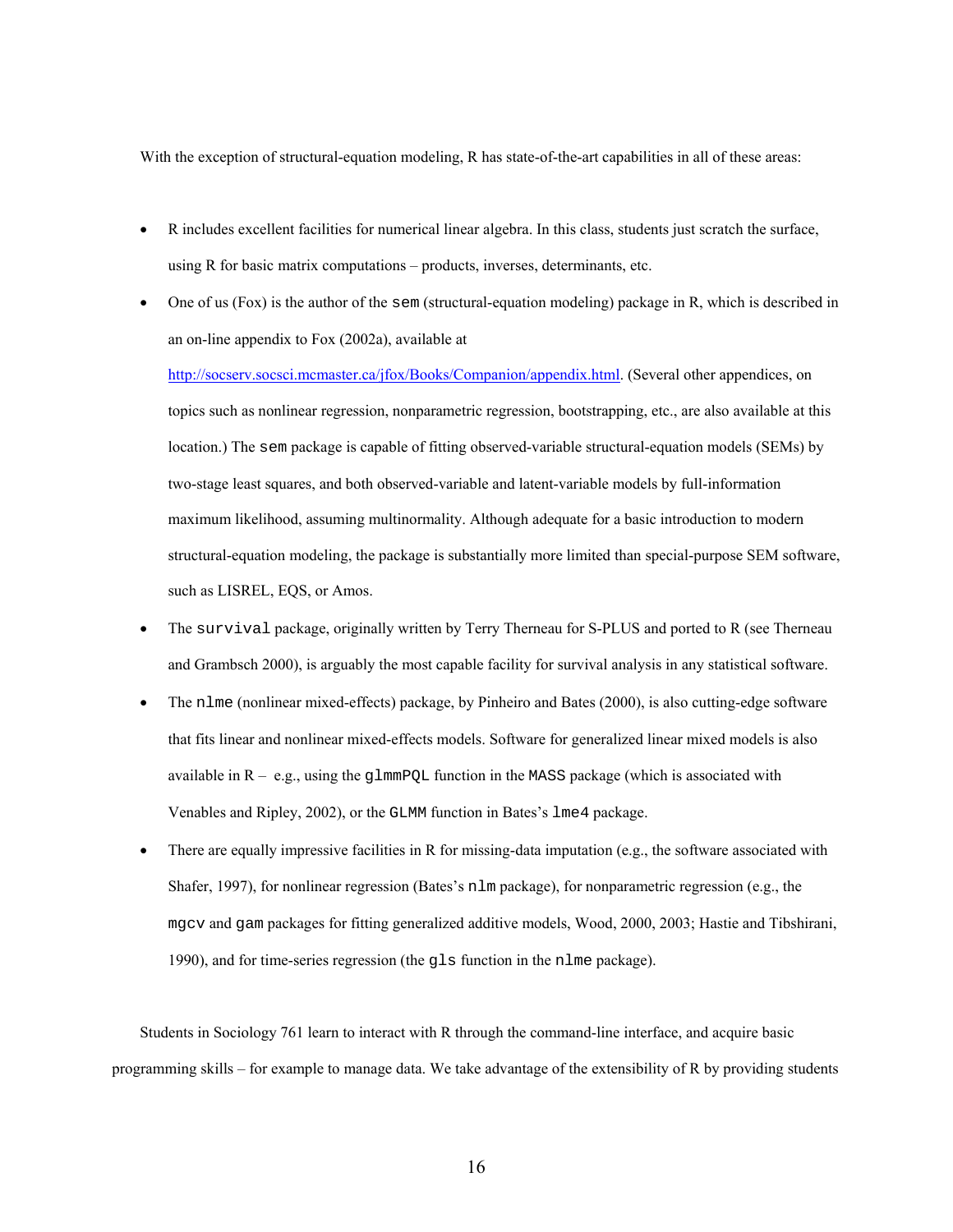With the exception of structural-equation modeling, R has state-of-the-art capabilities in all of these areas:

- R includes excellent facilities for numerical linear algebra. In this class, students just scratch the surface, using R for basic matrix computations – products, inverses, determinants, etc.
- One of us (Fox) is the author of the sem (structural-equation modeling) package in R, which is described in an on-line appendix to Fox (2002a), available at

<http://socserv.socsci.mcmaster.ca/jfox/Books/Companion/appendix.html>. (Several other appendices, on topics such as nonlinear regression, nonparametric regression, bootstrapping, etc., are also available at this location.) The sem package is capable of fitting observed-variable structural-equation models (SEMs) by two-stage least squares, and both observed-variable and latent-variable models by full-information maximum likelihood, assuming multinormality. Although adequate for a basic introduction to modern structural-equation modeling, the package is substantially more limited than special-purpose SEM software, such as LISREL, EQS, or Amos.

- The survival package, originally written by Terry Therneau for S-PLUS and ported to R (see Therneau and Grambsch 2000), is arguably the most capable facility for survival analysis in any statistical software.
- The nlme (nonlinear mixed-effects) package, by Pinheiro and Bates (2000), is also cutting-edge software that fits linear and nonlinear mixed-effects models. Software for generalized linear mixed models is also available in  $R - e.g.,$  using the glmmPQL function in the MASS package (which is associated with Venables and Ripley, 2002), or the GLMM function in Bates's lme4 package.
- There are equally impressive facilities in R for missing-data imputation (e.g., the software associated with Shafer, 1997), for nonlinear regression (Bates's nlm package), for nonparametric regression (e.g., the mgcv and gam packages for fitting generalized additive models, Wood, 2000, 2003; Hastie and Tibshirani, 1990), and for time-series regression (the gls function in the nlme package).

Students in Sociology 761 learn to interact with R through the command-line interface, and acquire basic programming skills – for example to manage data. We take advantage of the extensibility of R by providing students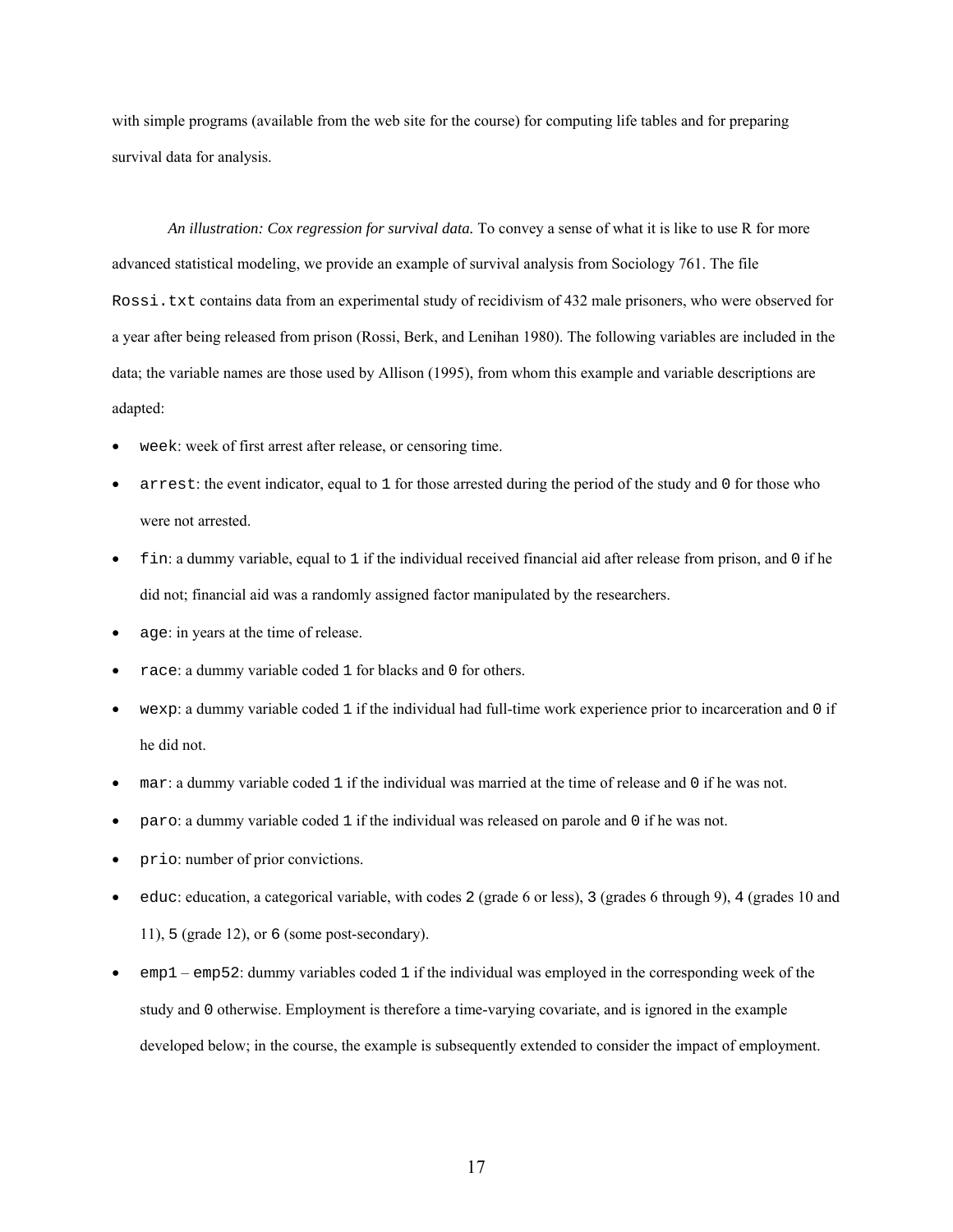with simple programs (available from the web site for the course) for computing life tables and for preparing survival data for analysis.

 *An illustration: Cox regression for survival data.* To convey a sense of what it is like to use R for more advanced statistical modeling, we provide an example of survival analysis from Sociology 761. The file Rossi.txt contains data from an experimental study of recidivism of 432 male prisoners, who were observed for a year after being released from prison (Rossi, Berk, and Lenihan 1980). The following variables are included in the data; the variable names are those used by Allison (1995), from whom this example and variable descriptions are adapted:

- week: week of first arrest after release, or censoring time.
- arrest: the event indicator, equal to 1 for those arrested during the period of the study and 0 for those who were not arrested.
- fin: a dummy variable, equal to 1 if the individual received financial aid after release from prison, and 0 if he did not; financial aid was a randomly assigned factor manipulated by the researchers.
- age: in years at the time of release.
- race: a dummy variable coded 1 for blacks and 0 for others.
- wexp: a dummy variable coded 1 if the individual had full-time work experience prior to incarceration and 0 if he did not.
- mar: a dummy variable coded 1 if the individual was married at the time of release and 0 if he was not.
- paro: a dummy variable coded 1 if the individual was released on parole and 0 if he was not.
- prio: number of prior convictions.
- educ: education, a categorical variable, with codes 2 (grade 6 or less), 3 (grades 6 through 9), 4 (grades 10 and 11), 5 (grade 12), or 6 (some post-secondary).
- emp1 emp52: dummy variables coded 1 if the individual was employed in the corresponding week of the study and 0 otherwise. Employment is therefore a time-varying covariate, and is ignored in the example developed below; in the course, the example is subsequently extended to consider the impact of employment.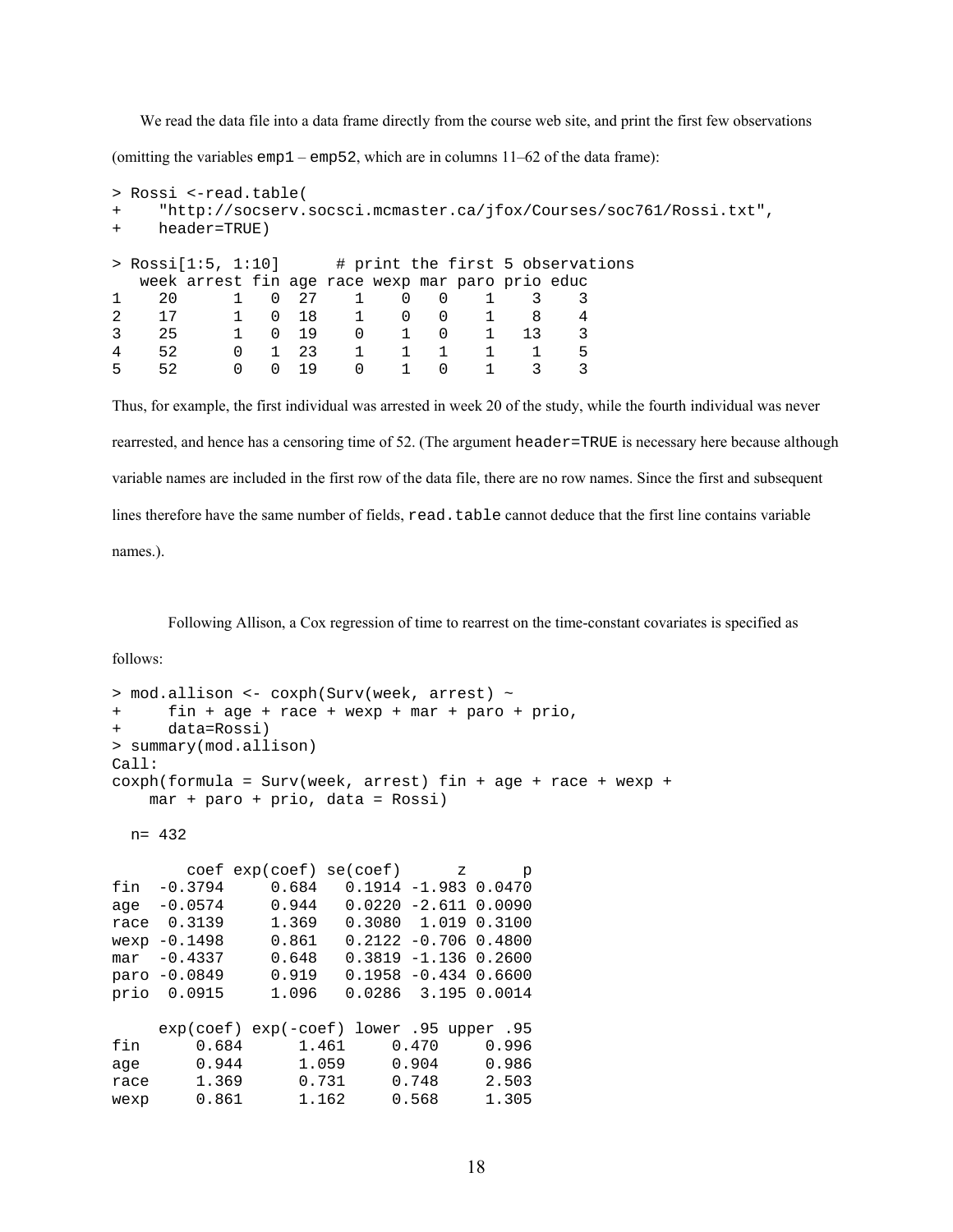We read the data file into a data frame directly from the course web site, and print the first few observations

(omitting the variables  $\epsilon_{\text{mp}} = -\epsilon_{\text{mp}} = 2$ , which are in columns 11–62 of the data frame):

```
> Rossi <-read.table( 
+ "http://socserv.socsci.mcmaster.ca/jfox/Courses/soc761/Rossi.txt", 
+ header=TRUE) 
> Rossi[1:5, 1:10] # print the first 5 observations 
   week arrest fin age race wexp mar paro prio educ 
1 20 1 0 27 1 0 0 1 3 3 
2 17 1 0 18 1 0 0 1 8 4 
3 25 1 0 19 0 1 0 1 13 3 
4 52 0 1 23 1 1 1 1 1 5 
5 52 0 0 19 0 1 0 1 3 3
```
Thus, for example, the first individual was arrested in week 20 of the study, while the fourth individual was never rearrested, and hence has a censoring time of 52. (The argument header=TRUE is necessary here because although variable names are included in the first row of the data file, there are no row names. Since the first and subsequent lines therefore have the same number of fields, read.table cannot deduce that the first line contains variable names.).

Following Allison, a Cox regression of time to rearrest on the time-constant covariates is specified as

follows:

```
> mod.allison <- coxph(Surv(week, arrest) ~ 
+ fin + age + race + wexp + mar + paro + prio, 
+ data=Rossi) 
> summary(mod.allison) 
Call: 
coxph(formula = Surv(week, arrest) fin + age + race + wexp + 
    mar + paro + prio, data = Rossi) 
  n= 432 
        coef exp(coef) se(coef) z p 
fin -0.3794 0.684 0.1914 -1.983 0.0470 
age -0.0574 0.944 0.0220 -2.611 0.0090 
race 0.3139 1.369 0.3080 1.019 0.3100 
wexp -0.1498 0.861 0.2122 -0.706 0.4800 
mar -0.4337 0.648 0.3819 -1.136 0.2600
paro -0.0849 0.919 0.1958 -0.434 0.6600 
prio 0.0915 1.096 0.0286 3.195 0.0014 
     exp(coef) exp(-coef) lower .95 upper .95 
fin 0.684 1.461 0.470 0.996 
age 0.944 1.059 0.904 0.986 
race 1.369 0.731 0.748 2.503 
wexp 0.861 1.162 0.568 1.305
```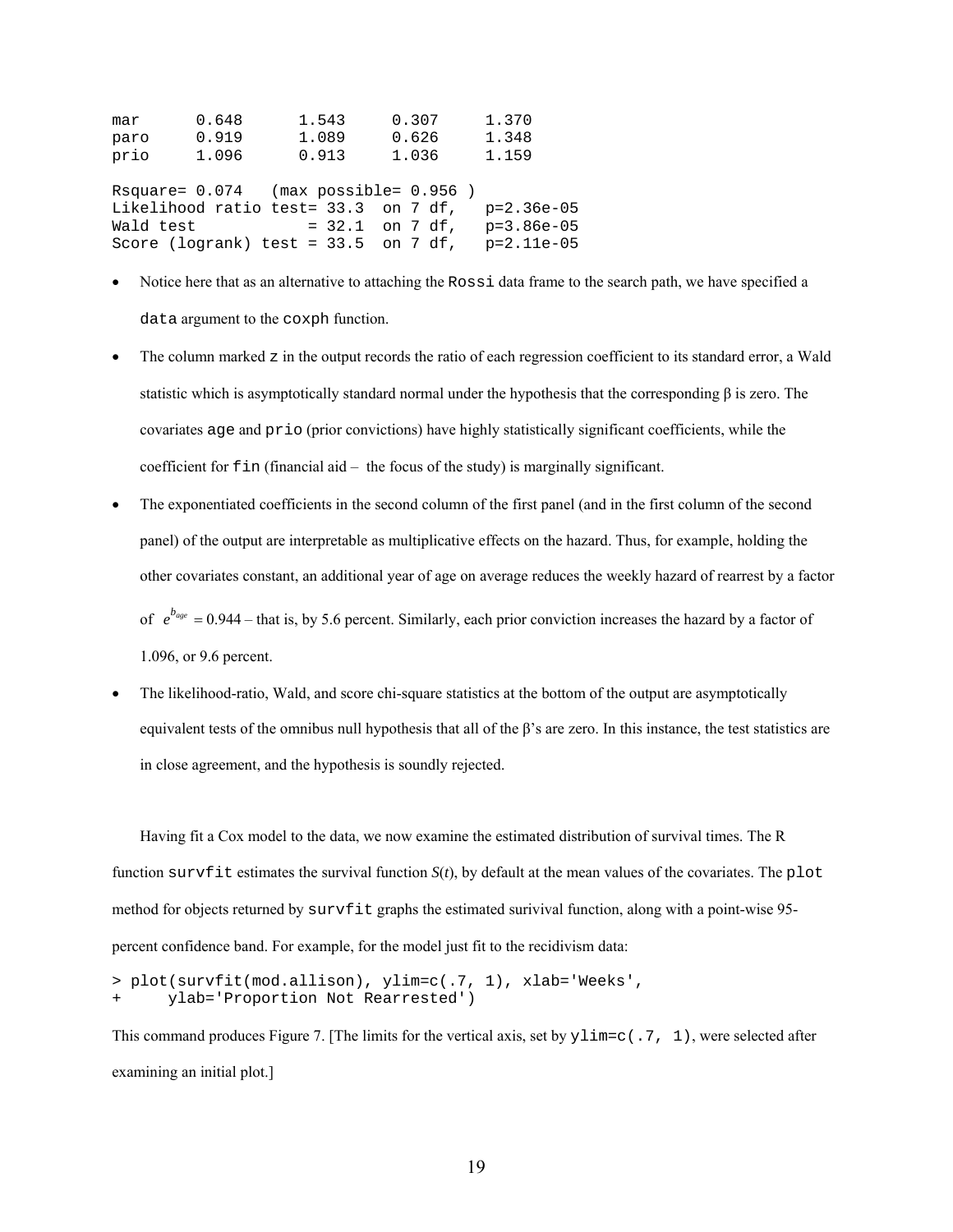| mar       | 0.648                                     | 1.543             | 0.307 | 1.370        |
|-----------|-------------------------------------------|-------------------|-------|--------------|
| paro      | 0.919                                     | 1.089             | 0.626 | 1.348        |
| prio      | 1.096                                     | 0.913             | 1.036 | 1.159        |
|           |                                           |                   |       |              |
|           | Rsquare= $0.074$ (max possible= $0.956$ ) |                   |       |              |
|           | Likelihood ratio test= 33.3 on 7 df,      |                   |       | $p=2.36e-05$ |
| Wald test |                                           | $= 32.1$ on 7 df, |       | $p=3.86e-05$ |
|           | Score (logrank) test = $33.5$ on 7 df,    |                   |       | $p=2.11e-05$ |

- Notice here that as an alternative to attaching the Rossi data frame to the search path, we have specified a data argument to the coxph function.
- The column marked z in the output records the ratio of each regression coefficient to its standard error, a Wald statistic which is asymptotically standard normal under the hypothesis that the corresponding  $\beta$  is zero. The covariates age and prio (prior convictions) have highly statistically significant coefficients, while the coefficient for  $\text{fin}$  (financial aid – the focus of the study) is marginally significant.
- The exponentiated coefficients in the second column of the first panel (and in the first column of the second panel) of the output are interpretable as multiplicative effects on the hazard. Thus, for example, holding the other covariates constant, an additional year of age on average reduces the weekly hazard of rearrest by a factor of  $e^{b_{age}} = 0.944$  – that is, by 5.6 percent. Similarly, each prior conviction increases the hazard by a factor of

1.096, or 9.6 percent.

• The likelihood-ratio, Wald, and score chi-square statistics at the bottom of the output are asymptotically equivalent tests of the omnibus null hypothesis that all of the β's are zero. In this instance, the test statistics are in close agreement, and the hypothesis is soundly rejected.

Having fit a Cox model to the data, we now examine the estimated distribution of survival times. The R function survfit estimates the survival function  $S(t)$ , by default at the mean values of the covariates. The plot method for objects returned by survfit graphs the estimated surivival function, along with a point-wise 95 percent confidence band. For example, for the model just fit to the recidivism data:

```
> plot(survfit(mod.allison), ylim=c(.7, 1), xlab='Weeks', 
      ylab='Proportion Not Rearrested')
```
This command produces Figure 7. [The limits for the vertical axis, set by  $y \lim_{n \to \infty} c(0.7, 1)$ , were selected after examining an initial plot.]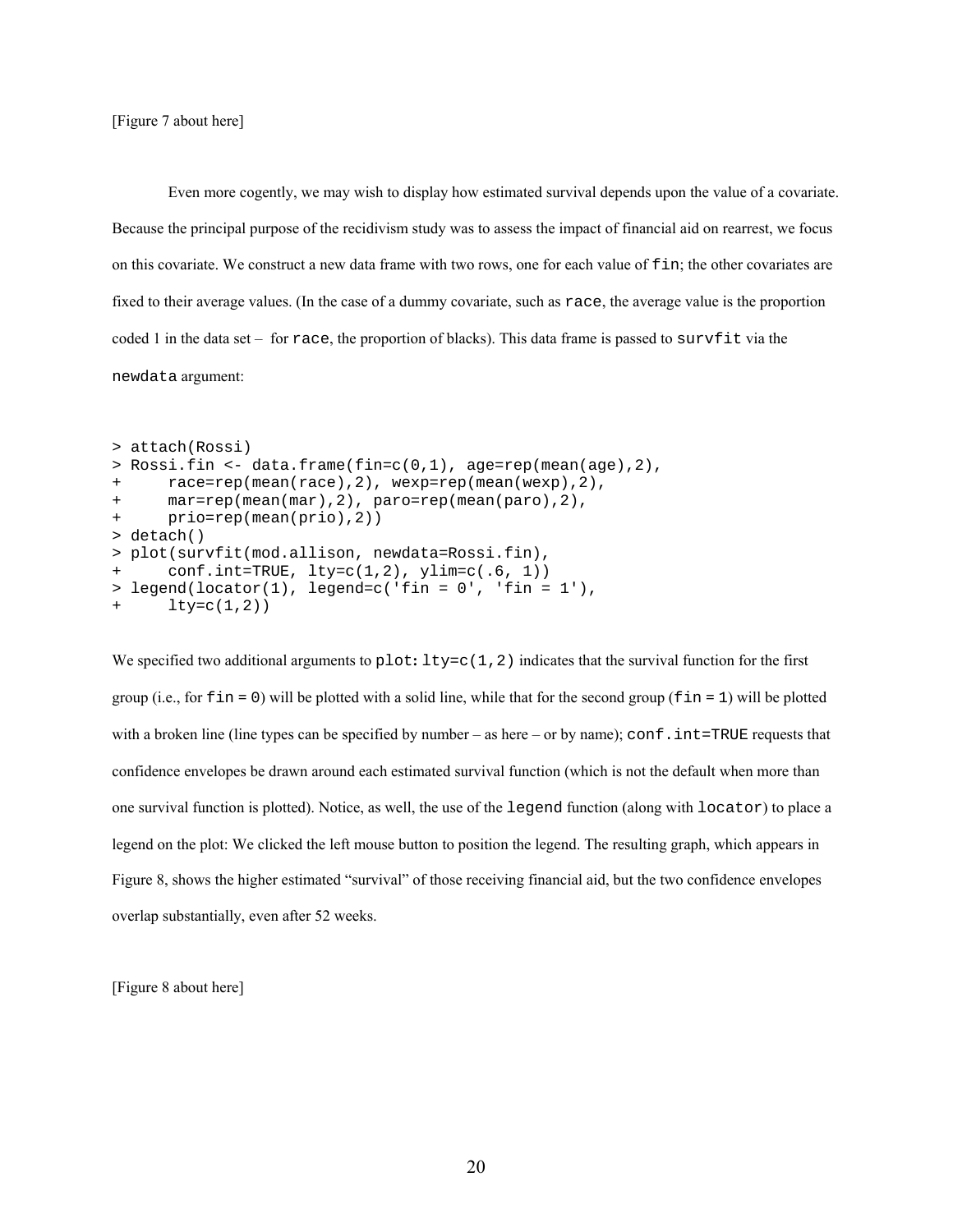Even more cogently, we may wish to display how estimated survival depends upon the value of a covariate. Because the principal purpose of the recidivism study was to assess the impact of financial aid on rearrest, we focus on this covariate. We construct a new data frame with two rows, one for each value of fin; the other covariates are fixed to their average values. (In the case of a dummy covariate, such as race, the average value is the proportion coded 1 in the data set – for race, the proportion of blacks). This data frame is passed to survfit via the newdata argument:

```
> attach(Rossi) 
> Rossi.fin < - data.frame(fin=c(0,1), age=rep(mean(age),2),
+ race=rep(mean(race),2), wexp=rep(mean(wexp),2), 
+ mar=rep(mean(mar),2), paro=rep(mean(paro),2), 
+ prio=rep(mean(prio),2)) 
> detach() 
> plot(survfit(mod.allison, newdata=Rossi.fin), 
+ conf.int=TRUE, lty=c(1,2), ylim=c(.6, 1)) 
> legend(locator(1), legend=c('fin = 0', 'fin = 1'), 
+ lty=c(1,2))
```
We specified two additional arguments to plot**:**  $lty=c(1,2)$  indicates that the survival function for the first group (i.e., for  $\text{fin} = 0$ ) will be plotted with a solid line, while that for the second group ( $\text{fin} = 1$ ) will be plotted with a broken line (line types can be specified by number – as here – or by name); conf.  $int = TRUE$  requests that confidence envelopes be drawn around each estimated survival function (which is not the default when more than one survival function is plotted). Notice, as well, the use of the legend function (along with locator) to place a legend on the plot: We clicked the left mouse button to position the legend. The resulting graph, which appears in Figure 8, shows the higher estimated "survival" of those receiving financial aid, but the two confidence envelopes overlap substantially, even after 52 weeks.

[Figure 8 about here]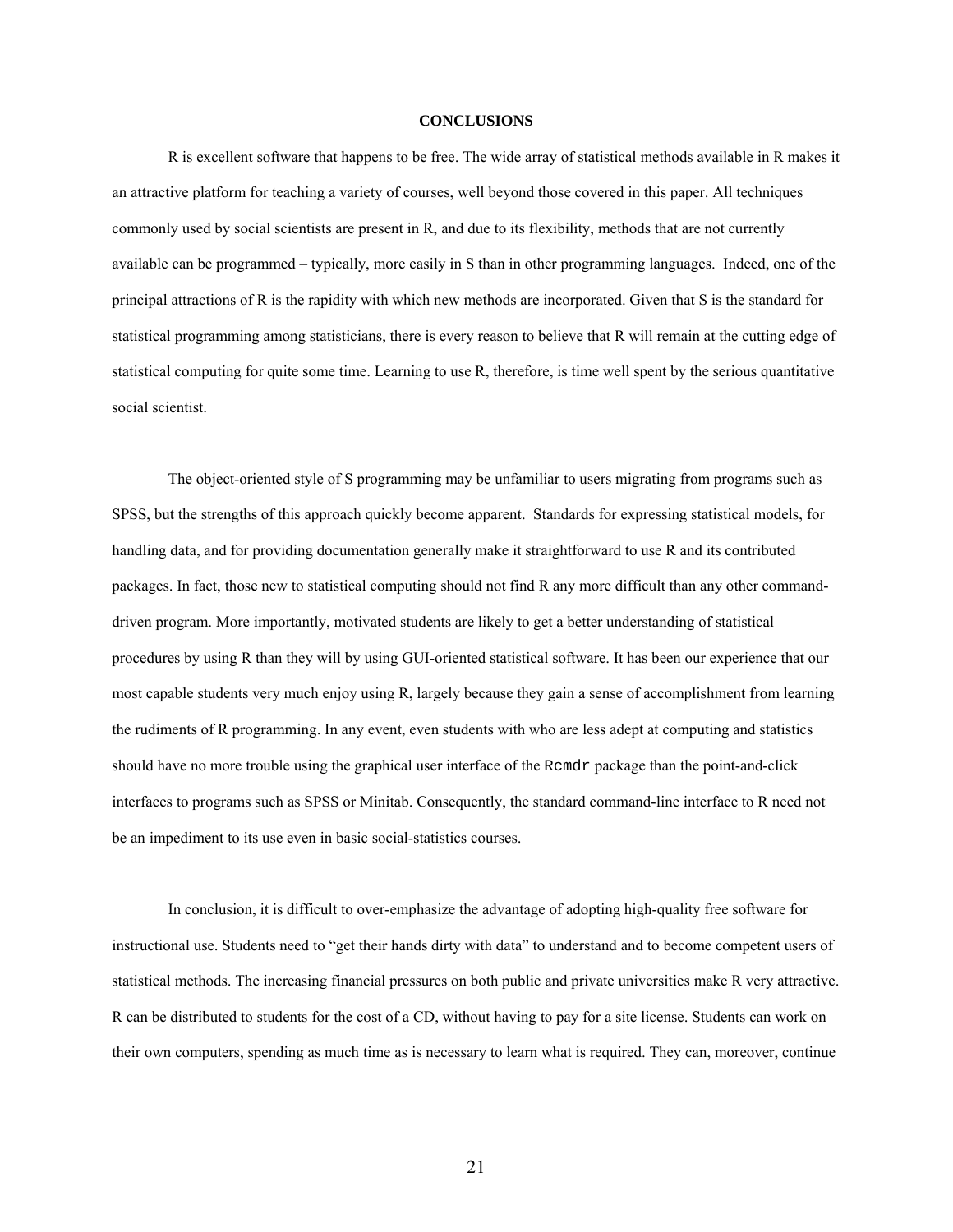#### **CONCLUSIONS**

R is excellent software that happens to be free. The wide array of statistical methods available in R makes it an attractive platform for teaching a variety of courses, well beyond those covered in this paper. All techniques commonly used by social scientists are present in R, and due to its flexibility, methods that are not currently available can be programmed – typically, more easily in S than in other programming languages. Indeed, one of the principal attractions of R is the rapidity with which new methods are incorporated. Given that S is the standard for statistical programming among statisticians, there is every reason to believe that R will remain at the cutting edge of statistical computing for quite some time. Learning to use R, therefore, is time well spent by the serious quantitative social scientist.

The object-oriented style of S programming may be unfamiliar to users migrating from programs such as SPSS, but the strengths of this approach quickly become apparent. Standards for expressing statistical models, for handling data, and for providing documentation generally make it straightforward to use R and its contributed packages. In fact, those new to statistical computing should not find R any more difficult than any other commanddriven program. More importantly, motivated students are likely to get a better understanding of statistical procedures by using R than they will by using GUI-oriented statistical software. It has been our experience that our most capable students very much enjoy using R, largely because they gain a sense of accomplishment from learning the rudiments of R programming. In any event, even students with who are less adept at computing and statistics should have no more trouble using the graphical user interface of the Rcmdr package than the point-and-click interfaces to programs such as SPSS or Minitab. Consequently, the standard command-line interface to R need not be an impediment to its use even in basic social-statistics courses.

In conclusion, it is difficult to over-emphasize the advantage of adopting high-quality free software for instructional use. Students need to "get their hands dirty with data" to understand and to become competent users of statistical methods. The increasing financial pressures on both public and private universities make R very attractive. R can be distributed to students for the cost of a CD, without having to pay for a site license. Students can work on their own computers, spending as much time as is necessary to learn what is required. They can, moreover, continue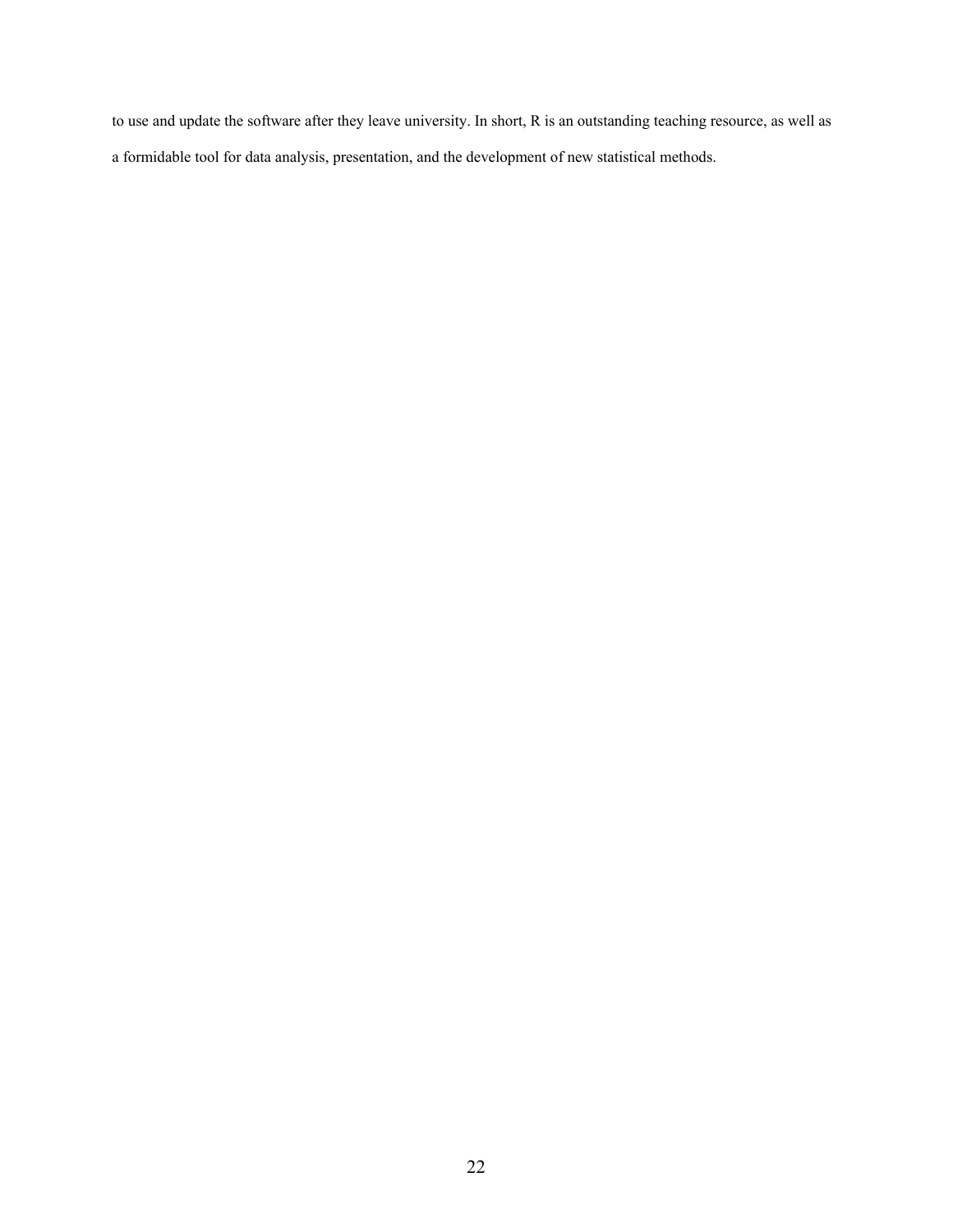to use and update the software after they leave university. In short, R is an outstanding teaching resource, as well as a formidable tool for data analysis, presentation, and the development of new statistical methods.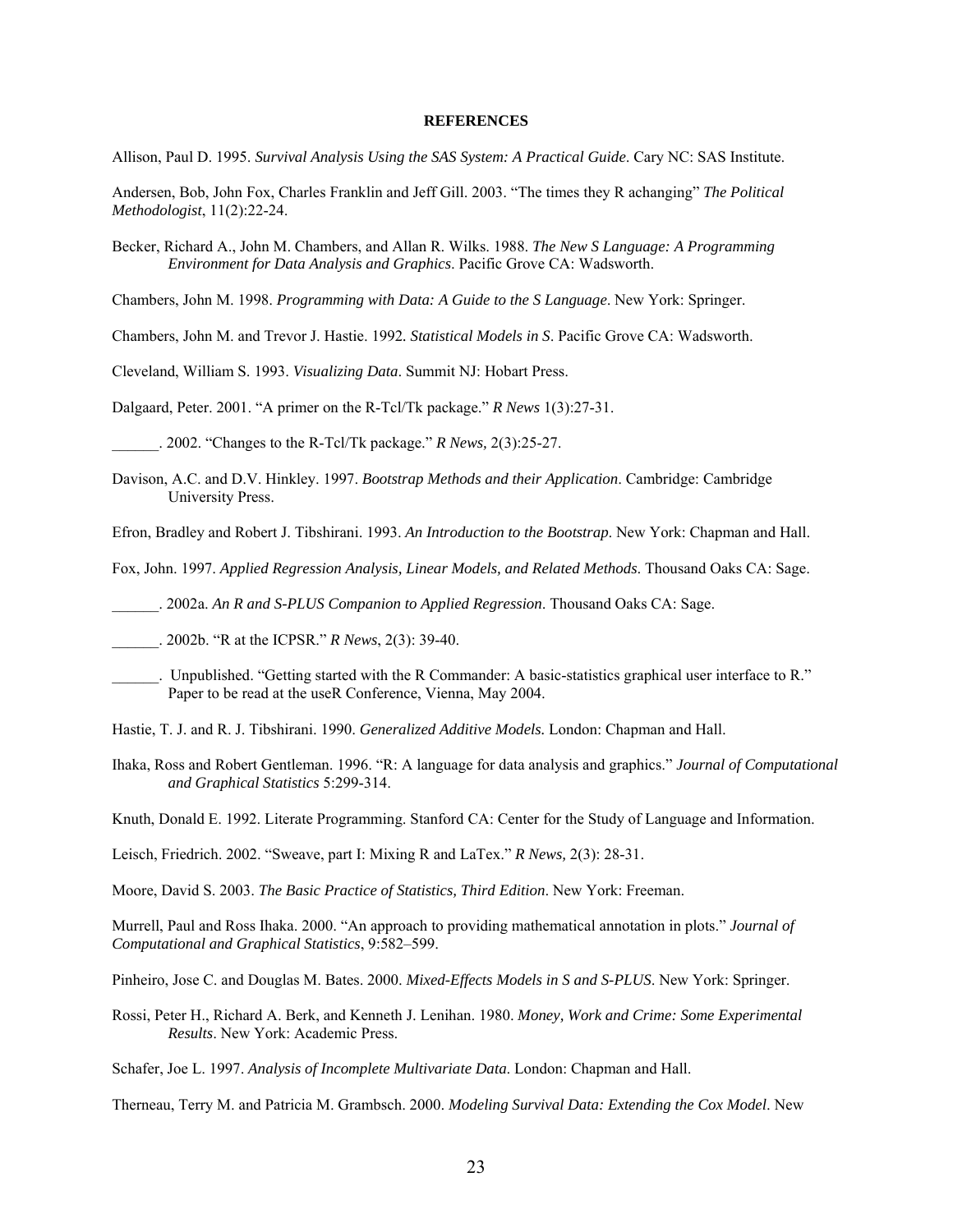## **REFERENCES**

Allison, Paul D. 1995. *Survival Analysis Using the SAS System: A Practical Guide*. Cary NC: SAS Institute.

Andersen, Bob, John Fox, Charles Franklin and Jeff Gill. 2003. "The times they R achanging" *The Political Methodologist*, 11(2):22-24.

Becker, Richard A., John M. Chambers, and Allan R. Wilks. 1988. *The New S Language: A Programming Environment for Data Analysis and Graphics*. Pacific Grove CA: Wadsworth.

Chambers, John M. 1998. *Programming with Data: A Guide to the S Language*. New York: Springer.

Chambers, John M. and Trevor J. Hastie. 1992*. Statistical Models in S*. Pacific Grove CA: Wadsworth.

Cleveland, William S. 1993. *Visualizing Data*. Summit NJ: Hobart Press.

Dalgaard, Peter. 2001. "A primer on the R-Tcl/Tk package." *R News* 1(3):27-31.

\_\_\_\_\_\_. 2002. "Changes to the R-Tcl/Tk package." *R News,* 2(3):25-27.

Davison, A.C. and D.V. Hinkley. 1997. *Bootstrap Methods and their Application*. Cambridge: Cambridge University Press.

Efron, Bradley and Robert J. Tibshirani. 1993. *An Introduction to the Bootstrap*. New York: Chapman and Hall.

Fox, John. 1997. *Applied Regression Analysis, Linear Models, and Related Methods*. Thousand Oaks CA: Sage.

\_\_\_\_\_\_. 2002a. *An R and S-PLUS Companion to Applied Regression*. Thousand Oaks CA: Sage.

\_\_\_\_\_\_. 2002b. "R at the ICPSR." *R News*, 2(3): 39-40.

- \_\_\_\_\_\_. Unpublished. "Getting started with the R Commander: A basic-statistics graphical user interface to R." Paper to be read at the useR Conference, Vienna, May 2004.
- Hastie, T. J. and R. J. Tibshirani. 1990. *Generalized Additive Models.* London: Chapman and Hall.
- Ihaka, Ross and Robert Gentleman. 1996. "R: A language for data analysis and graphics." *Journal of Computational and Graphical Statistics* 5:299-314.

Knuth, Donald E. 1992. Literate Programming. Stanford CA: Center for the Study of Language and Information.

Leisch, Friedrich. 2002. "Sweave, part I: Mixing R and LaTex." *R News,* 2(3): 28-31.

Moore, David S. 2003. *The Basic Practice of Statistics, Third Edition*. New York: Freeman.

Murrell, Paul and Ross Ihaka. 2000. "An approach to providing mathematical annotation in plots." *Journal of Computational and Graphical Statistics*, 9:582–599.

Pinheiro, Jose C. and Douglas M. Bates. 2000. *Mixed-Effects Models in S and S-PLUS*. New York: Springer.

Rossi, Peter H., Richard A. Berk, and Kenneth J. Lenihan. 1980. *Money, Work and Crime: Some Experimental Results*. New York: Academic Press.

Schafer, Joe L. 1997. *Analysis of Incomplete Multivariate Data*. London: Chapman and Hall.

Therneau, Terry M. and Patricia M. Grambsch. 2000. *Modeling Survival Data: Extending the Cox Model*. New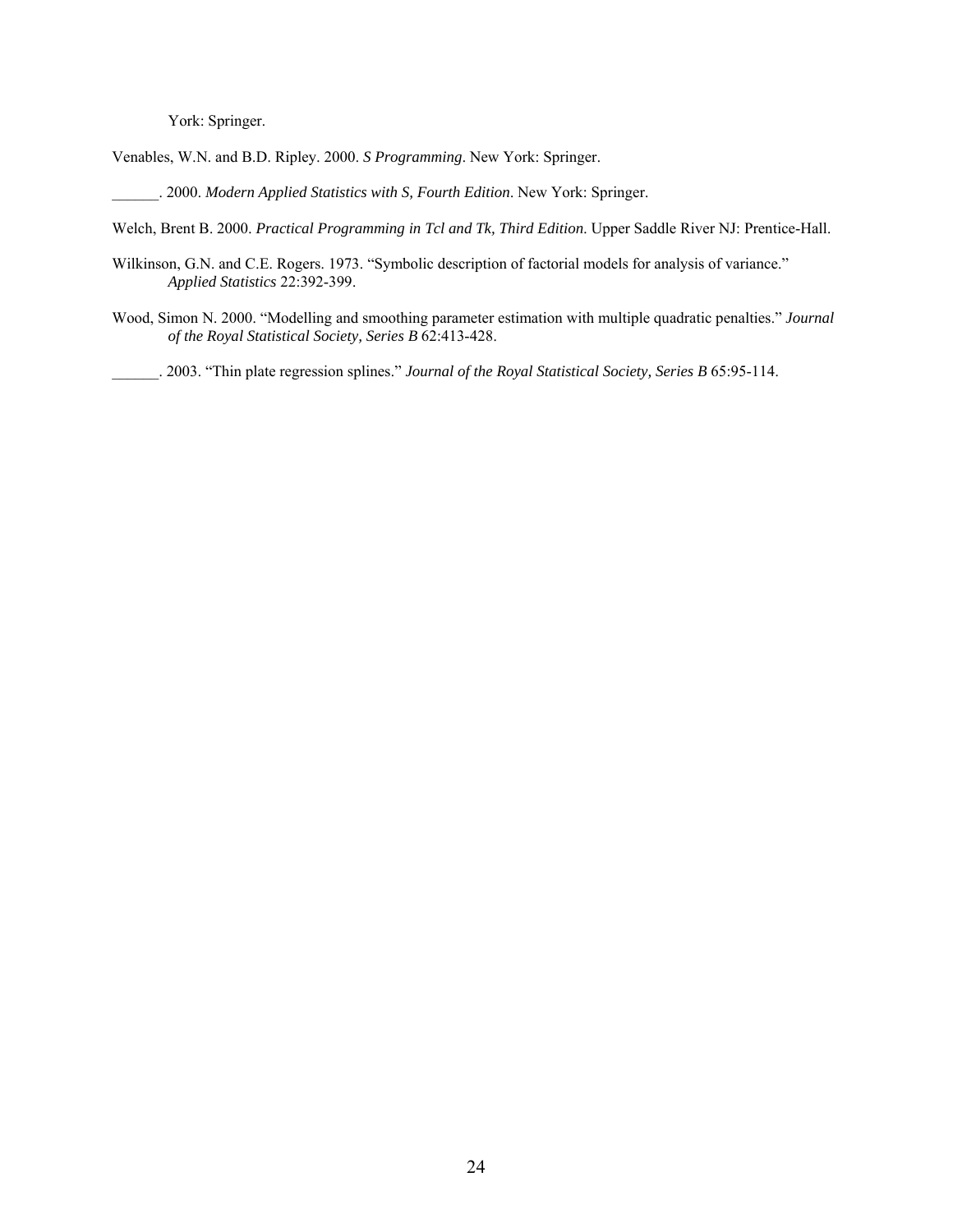York: Springer.

Venables, W.N. and B.D. Ripley. 2000. *S Programming*. New York: Springer.

\_\_\_\_\_\_. 2000. *Modern Applied Statistics with S, Fourth Edition*. New York: Springer.

Welch, Brent B. 2000. *Practical Programming in Tcl and Tk, Third Edition*. Upper Saddle River NJ: Prentice-Hall.

- Wilkinson, G.N. and C.E. Rogers. 1973. "Symbolic description of factorial models for analysis of variance." *Applied Statistics* 22:392-399.
- Wood, Simon N. 2000. "Modelling and smoothing parameter estimation with multiple quadratic penalties." *Journal of the Royal Statistical Society, Series B* 62:413-428.

\_\_\_\_\_\_. 2003. "Thin plate regression splines." *Journal of the Royal Statistical Society, Series B* 65:95-114.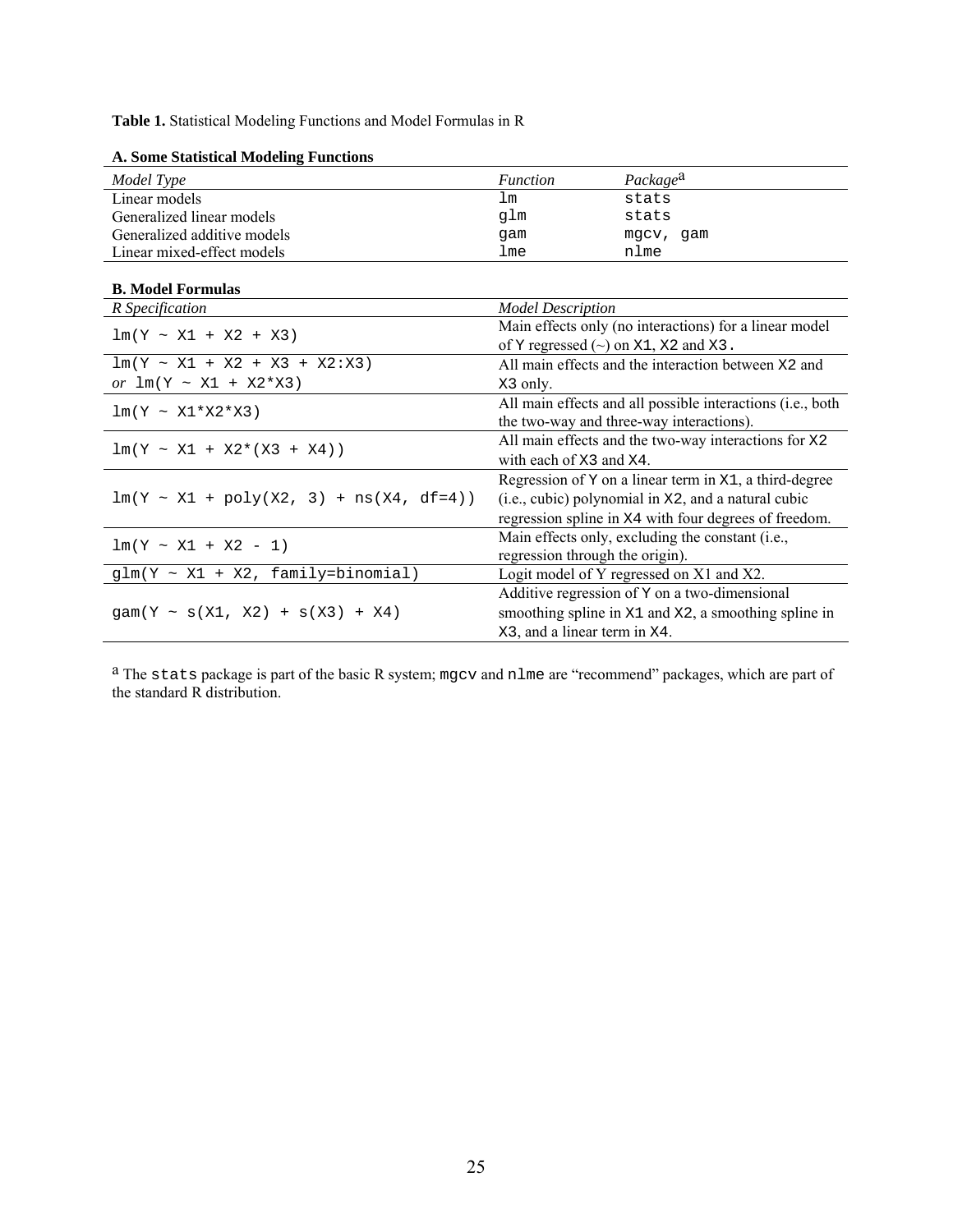**Table 1.** Statistical Modeling Functions and Model Formulas in R

| Model Type                                   | <b>Function</b>                                                                                                                                                             | Package <sup>a</sup>                                                                                  |  |
|----------------------------------------------|-----------------------------------------------------------------------------------------------------------------------------------------------------------------------------|-------------------------------------------------------------------------------------------------------|--|
| Linear models                                | $\mathop{\rm Im}%$                                                                                                                                                          | stats                                                                                                 |  |
| Generalized linear models                    | glm                                                                                                                                                                         | stats                                                                                                 |  |
| Generalized additive models                  | qam                                                                                                                                                                         | mgcv, gam                                                                                             |  |
| Linear mixed-effect models                   | lme                                                                                                                                                                         | nlme                                                                                                  |  |
| <b>B.</b> Model Formulas                     |                                                                                                                                                                             |                                                                                                       |  |
| R Specification                              | <b>Model Description</b>                                                                                                                                                    |                                                                                                       |  |
| $lm(Y ~ X1 ~ + X2 ~ + X3)$                   | Main effects only (no interactions) for a linear model<br>of Y regressed $(\sim)$ on X1, X2 and X3.                                                                         |                                                                                                       |  |
| $lm(Y ~ X1 ~ + X2 ~ + X3 ~ + X2:X3)$         | All main effects and the interaction between X2 and                                                                                                                         |                                                                                                       |  |
| or $lm(Y \sim X1 + X2*X3)$                   | X3 only.                                                                                                                                                                    |                                                                                                       |  |
| $lm(Y ~ X1 * X2 * X3)$                       | All main effects and all possible interactions (i.e., both<br>the two-way and three-way interactions).                                                                      |                                                                                                       |  |
| $lm(Y ~ X1 ~ + ~ X2*(X3 ~ + ~ X4))$          | All main effects and the two-way interactions for X2<br>with each of X3 and X4.                                                                                             |                                                                                                       |  |
| $lm(Y \sim XI + poly(X2, 3) + ns(X4, df=4))$ | Regression of Y on a linear term in X1, a third-degree<br>$(i.e., cubic)$ polynomial in $X2$ , and a natural cubic<br>regression spline in x4 with four degrees of freedom. |                                                                                                       |  |
| $lm(Y \sim XI + X2 - 1)$                     | Main effects only, excluding the constant (i.e.,<br>regression through the origin).                                                                                         |                                                                                                       |  |
| $glm(Y \sim X1 + X2, family = binomial)$     |                                                                                                                                                                             | Logit model of Y regressed on X1 and X2.                                                              |  |
| $gam(Y ~ S(X1, X2) + S(X3) + X4)$            | X3, and a linear term in X4.                                                                                                                                                | Additive regression of Y on a two-dimensional<br>smoothing spline in X1 and X2, a smoothing spline in |  |

# **A. Some Statistical Modeling Functions**

a The stats package is part of the basic R system; mgcv and nlme are "recommend" packages, which are part of the standard R distribution.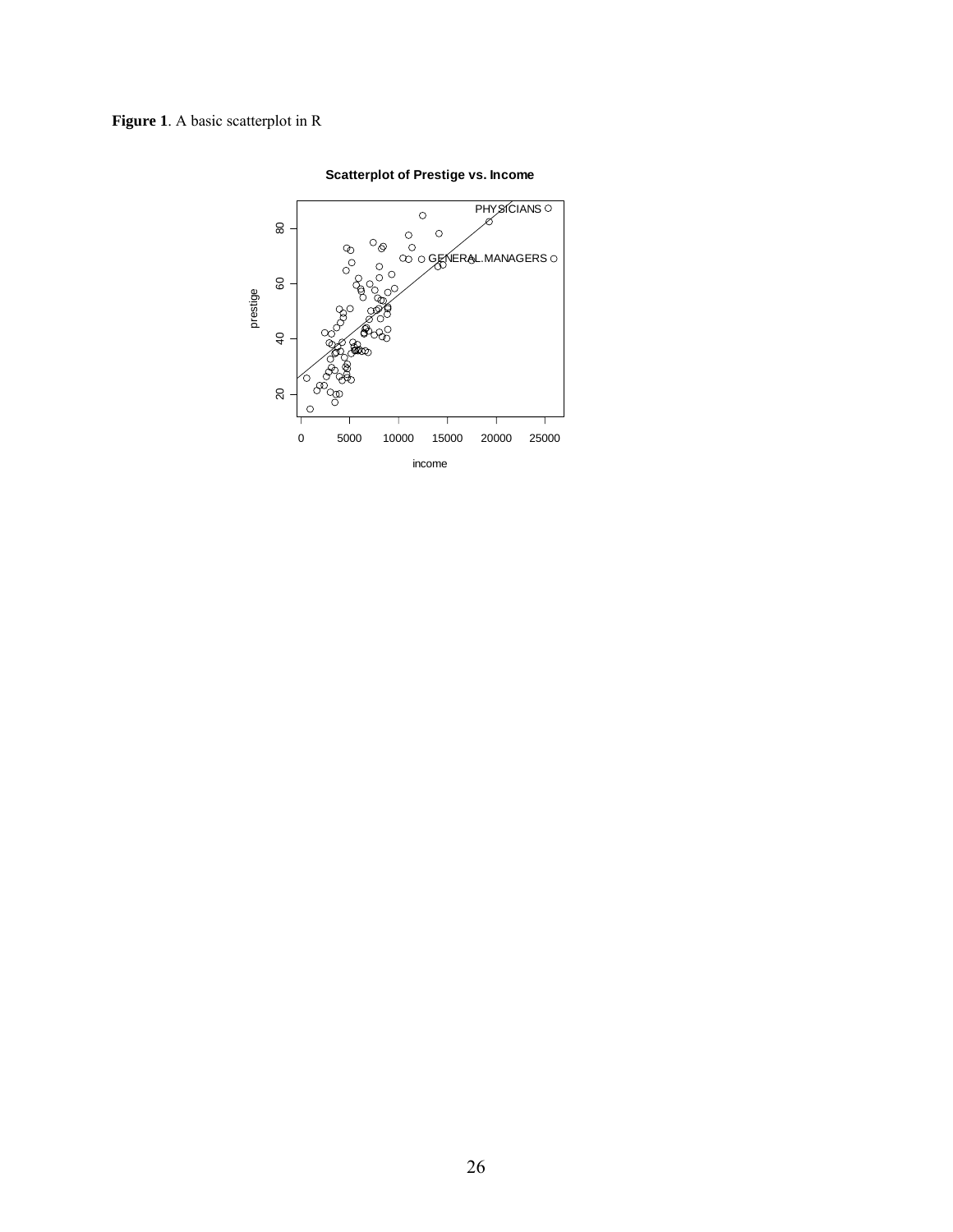# **Figure 1**. A basic scatterplot in R



# **Scatterplot of Prestige vs. Income**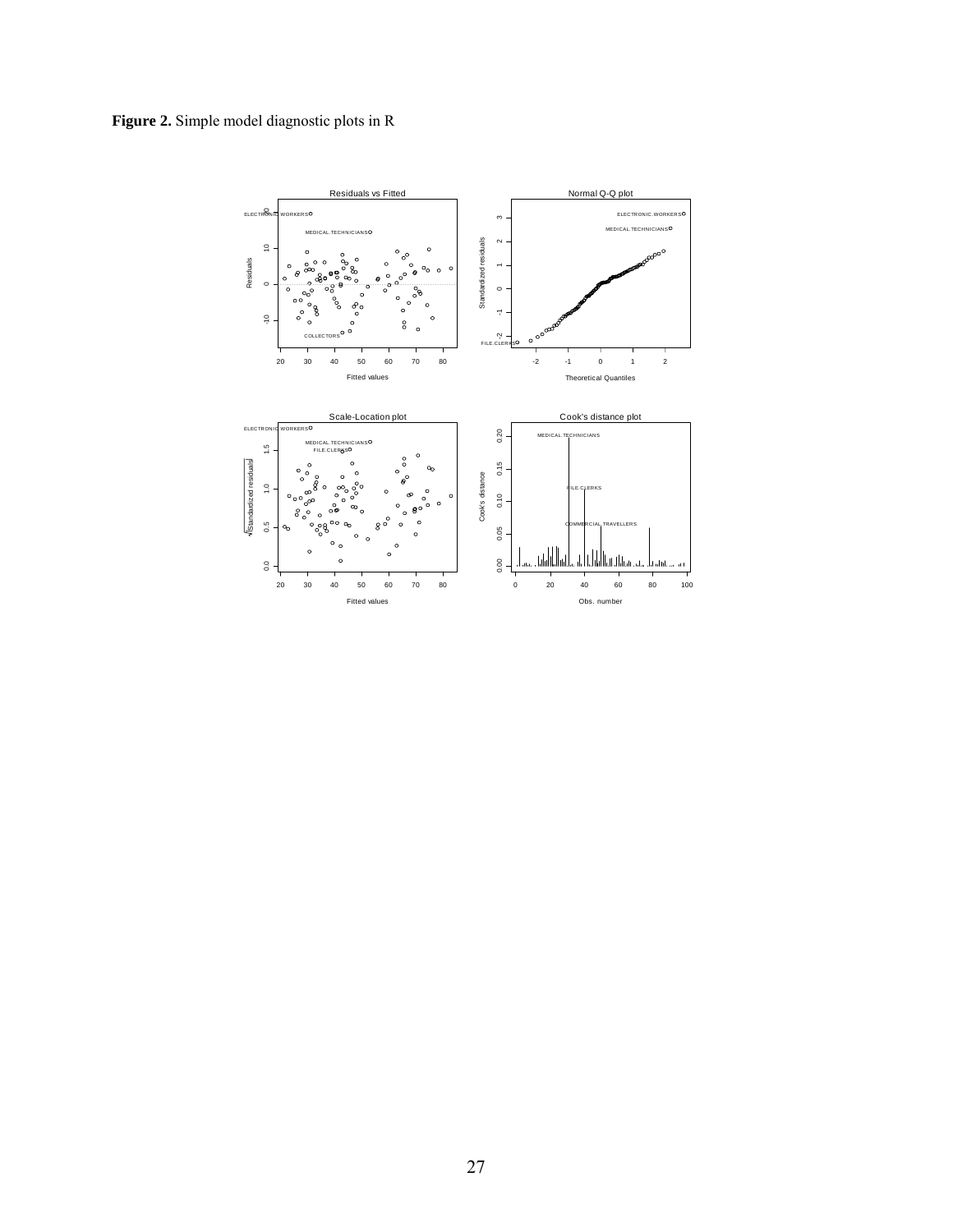

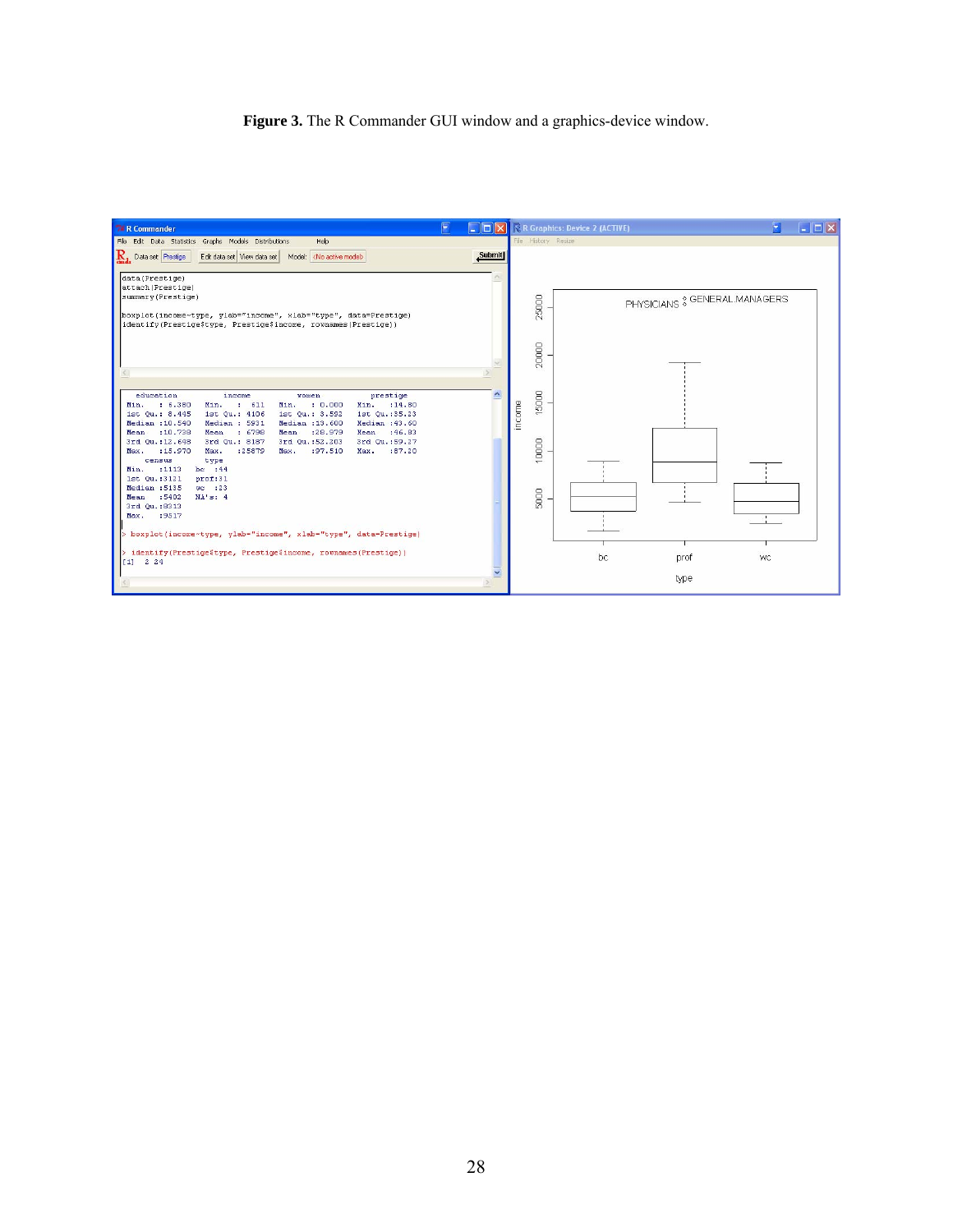# **Figure 3.** The R Commander GUI window and a graphics-device window.

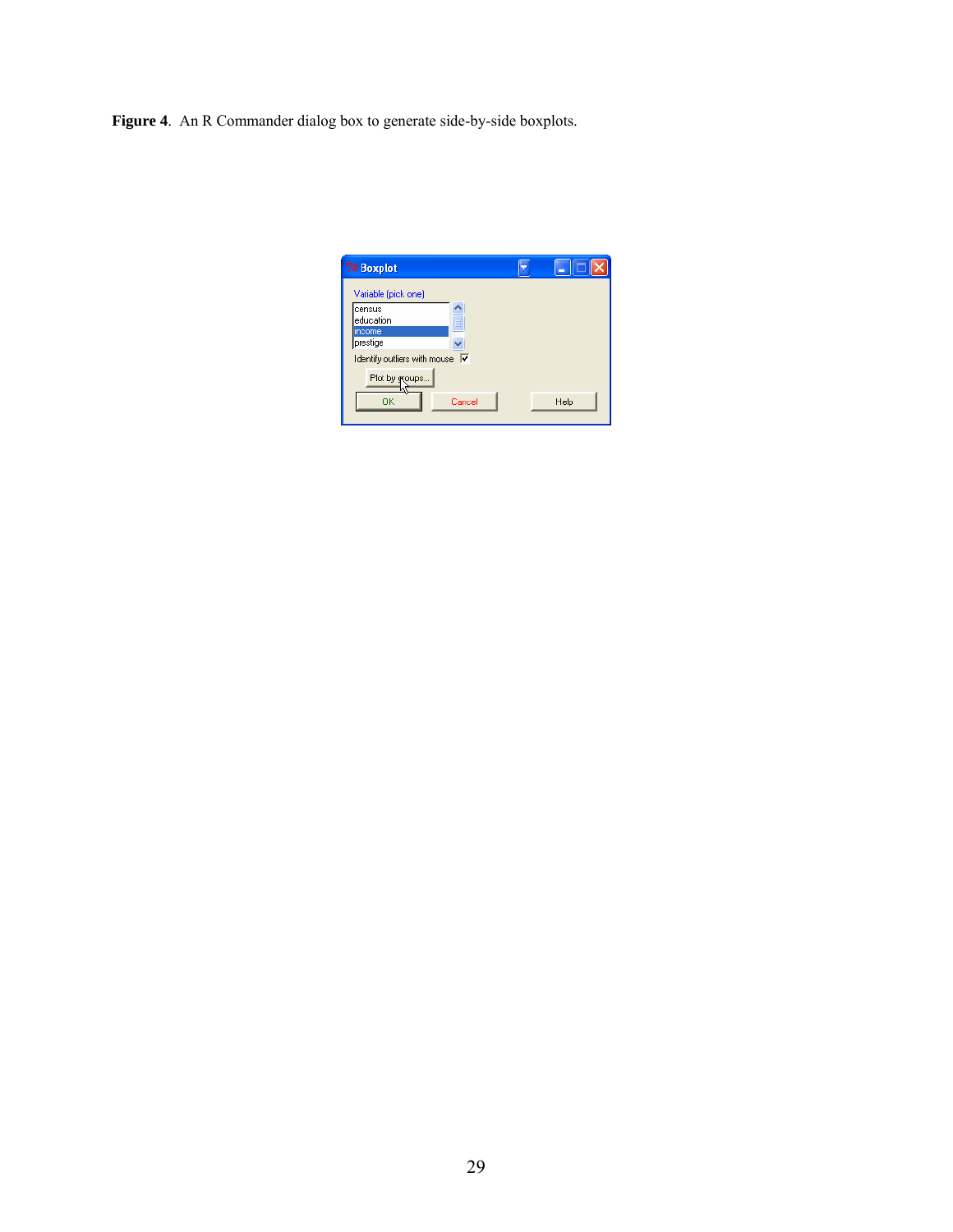**Figure 4**. An R Commander dialog box to generate side-by-side boxplots.

| <b>7% Boxplot</b>                                                |      |
|------------------------------------------------------------------|------|
| Variable (pick one)<br>census<br>education<br>income<br>prestige |      |
| Identify outliers with mouse $ \nabla$                           |      |
| Plot by <i>e</i> coups<br>OK<br>Cancel                           | Help |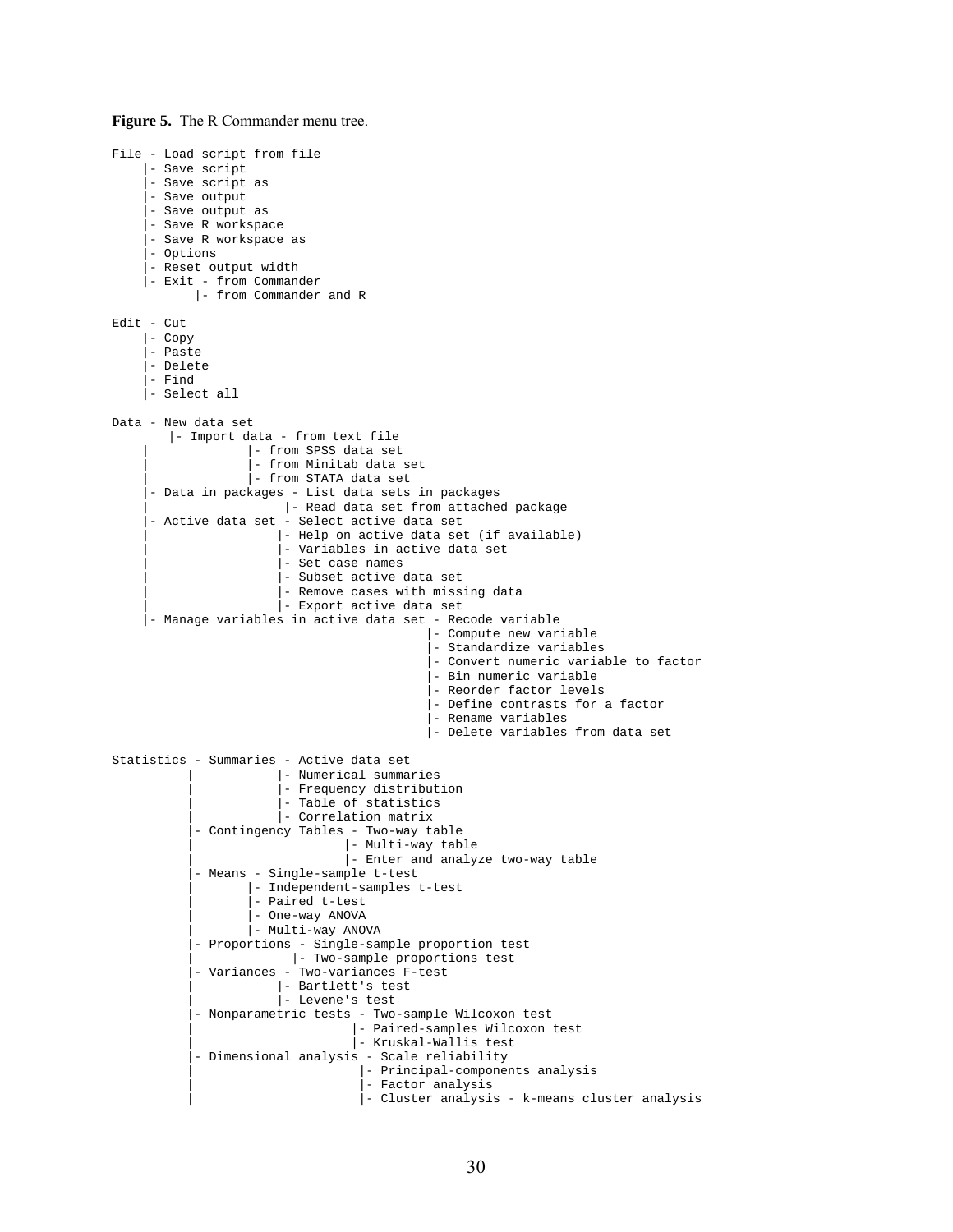```
Figure 5. The R Commander menu tree.
```

```
File - Load script from file 
     |- Save script 
      |- Save script as 
      |- Save output 
     |- Save output as 
      |- Save R workspace 
      |- Save R workspace as 
     |- Options 
     |- Reset output width 
     |- Exit - from Commander 
            |- from Commander and R 
Edit - Cut 
 |- Copy 
 |- Paste 
      |- Delete 
      |- Find 
     |- Select all
Data - New data set 
        |- Import data - from text file 
                    - from SPSS data set
                    - from Minitab data set
                     | |- from STATA data set 
 |- Data in packages - List data sets in packages 
| |- |- |- Read data set from attached package
     - Active data set - Select active data set
                         | |- Help on active data set (if available) 
                        - Variables in active data set
                        - Set case names
                        - Subset active data set
                        |- Remove cases with missing data
                         | |- Export active data set 
     |- Manage variables in active data set - Recode variable 
                                              |- Compute new variable 
                                               |- Standardize variables 
                                               |- Convert numeric variable to factor 
                                               |- Bin numeric variable 
                                               |- Reorder factor levels 
                                               |- Define contrasts for a factor 
                                               |- Rename variables 
                                               |- Delete variables from data set 
Statistics - Summaries - Active data set 
                         | |- Numerical summaries 
                        - Frequency distribution
                        |- Table of statistics
                        | |- Correlation matrix 
            - Contingency Tables - Two-way table
                                  | |- Multi-way table 
                                 |- Enter and analyze two-way table
             |- Means - Single-sample t-test 
                    | |- Independent-samples t-test 
                    |- Paired t-test
                     | |- One-way ANOVA 
                     | |- Multi-way ANOVA 
             |- Proportions - Single-sample proportion test 
                        |- Two-sample proportions test
             |- Variances - Two-variances F-test 
                        | |- Bartlett's test 
                         | |- Levene's test 
            - Nonparametric tests - Two-sample Wilcoxon test
                                    | |- Paired-samples Wilcoxon test 
                                    | |- Kruskal-Wallis test 
             |- Dimensional analysis - Scale reliability 
                                     | |- Principal-components analysis 
                                    |- Factor analysis
                                    | |- Cluster analysis - k-means cluster analysis
```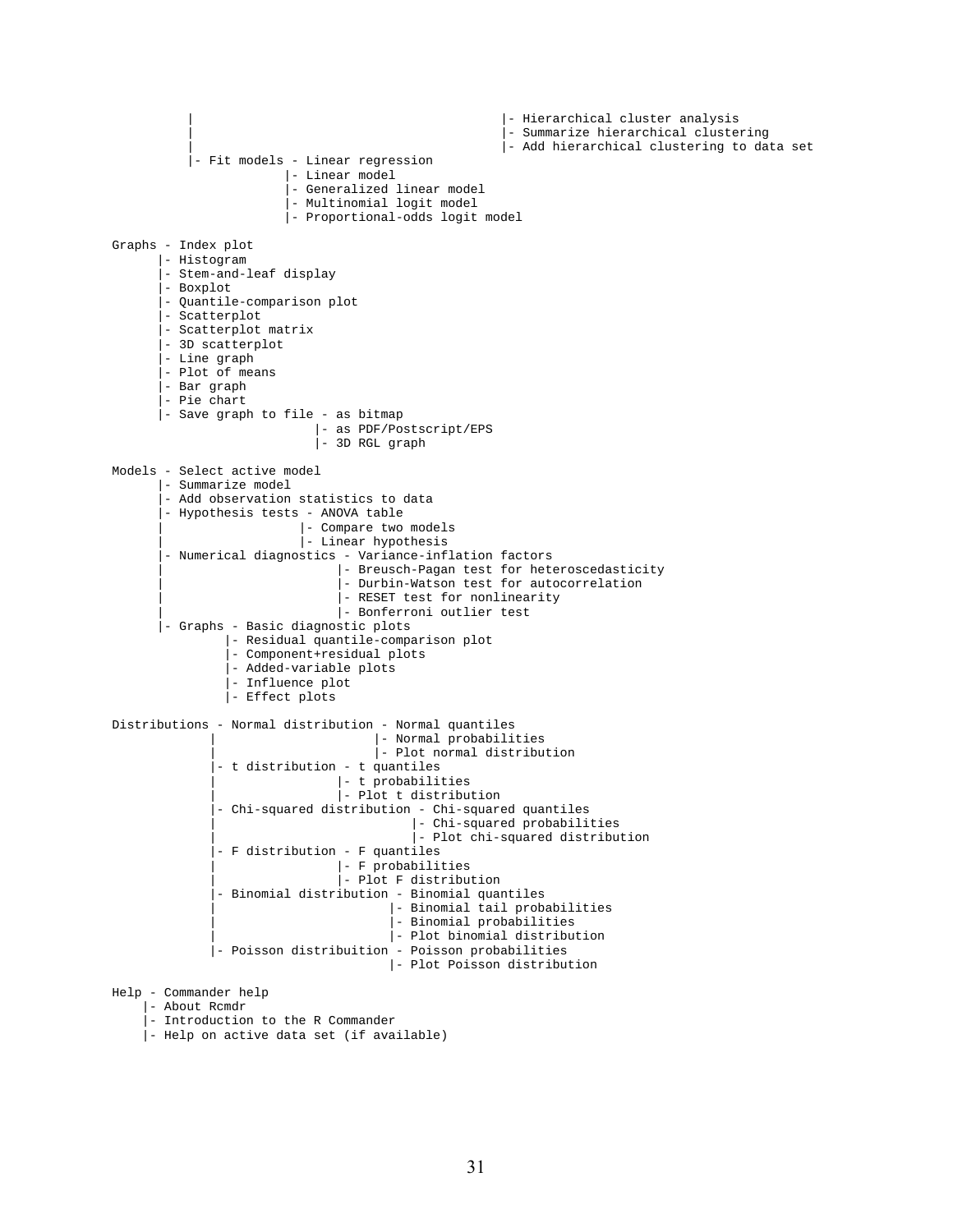| |- Hierarchical cluster analysis - Summarize hierarchical clustering | |- Add hierarchical clustering to data set |- Fit models - Linear regression |- Linear model - Generalized linear model |- Multinomial logit model |- Proportional-odds logit model Graphs - Index plot |- Histogram |- Stem-and-leaf display |- Boxplot |- Quantile-comparison plot |- Scatterplot |- Scatterplot matrix |- 3D scatterplot |- Line graph |- Plot of means |- Bar graph |- Pie chart |- Save graph to file - as bitmap |- as PDF/Postscript/EPS |- 3D RGL graph Models - Select active model |- Summarize model - Add observation statistics to data |- Hypothesis tests - ANOVA table | |- Compare two models | |- Linear hypothesis - Numerical diagnostics - Variance-inflation factors |- Breusch-Pagan test for heteroscedasticity - Durbin-Watson test for autocorrelation |- RESET test for nonlinearity | |- Bonferroni outlier test |- Graphs - Basic diagnostic plots |- Residual quantile-comparison plot |- Component+residual plots |- Added-variable plots |- Influence plot |- Effect plots Distributions - Normal distribution - Normal quantiles | |- Normal probabilities | extended to the plot normal distribution |- t distribution - t quantiles | |- t probabilities | |- Plot t distribution - Chi-squared distribution - Chi-squared quantiles | |- Chi-squared probabilities |- Plot chi-squared distribution |- F distribution - F quantiles | |- F probabilities - Plot F distribution |- Binomial distribution - Binomial quantiles | |- Binomial tail probabilities | |- Binomial probabilities | |- Plot binomial distribution |- Poisson distribuition - Poisson probabilities |- Plot Poisson distribution Help - Commander help |- About Rcmdr |- Introduction to the R Commander

|- Help on active data set (if available)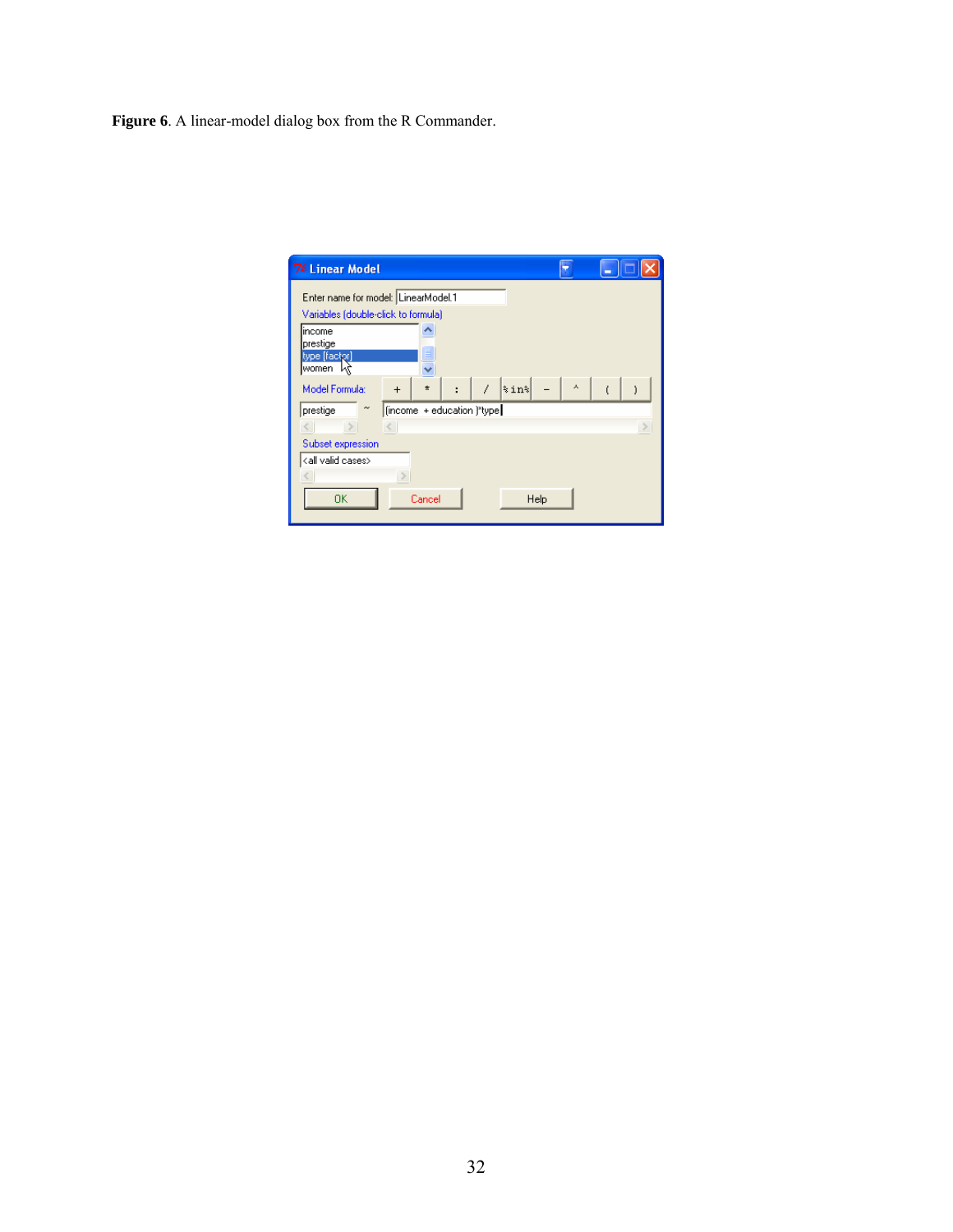**Figure 6**. A linear-model dialog box from the R Commander.

| <b>7% Linear Model</b>              |                                                            |   |  |
|-------------------------------------|------------------------------------------------------------|---|--|
| Enter name for model: LinearModel.1 |                                                            |   |  |
| Variables (double-click to formula) |                                                            |   |  |
| lincome                             |                                                            |   |  |
| prestige                            |                                                            |   |  |
| type [factor]                       |                                                            |   |  |
| women                               |                                                            |   |  |
| Model Formula:                      | $\overline{1}$<br>$\sin\frac{1}{2}$<br>$\star$<br>$+$<br>÷ | ٨ |  |
| prestige<br>$\tilde{ }$             | [income + education ]*type                                 |   |  |
|                                     |                                                            |   |  |
| Subset expression                   |                                                            |   |  |
| <all cases="" valid=""></all>       |                                                            |   |  |
|                                     |                                                            |   |  |
| <b>OK</b>                           | Cancel<br>Help                                             |   |  |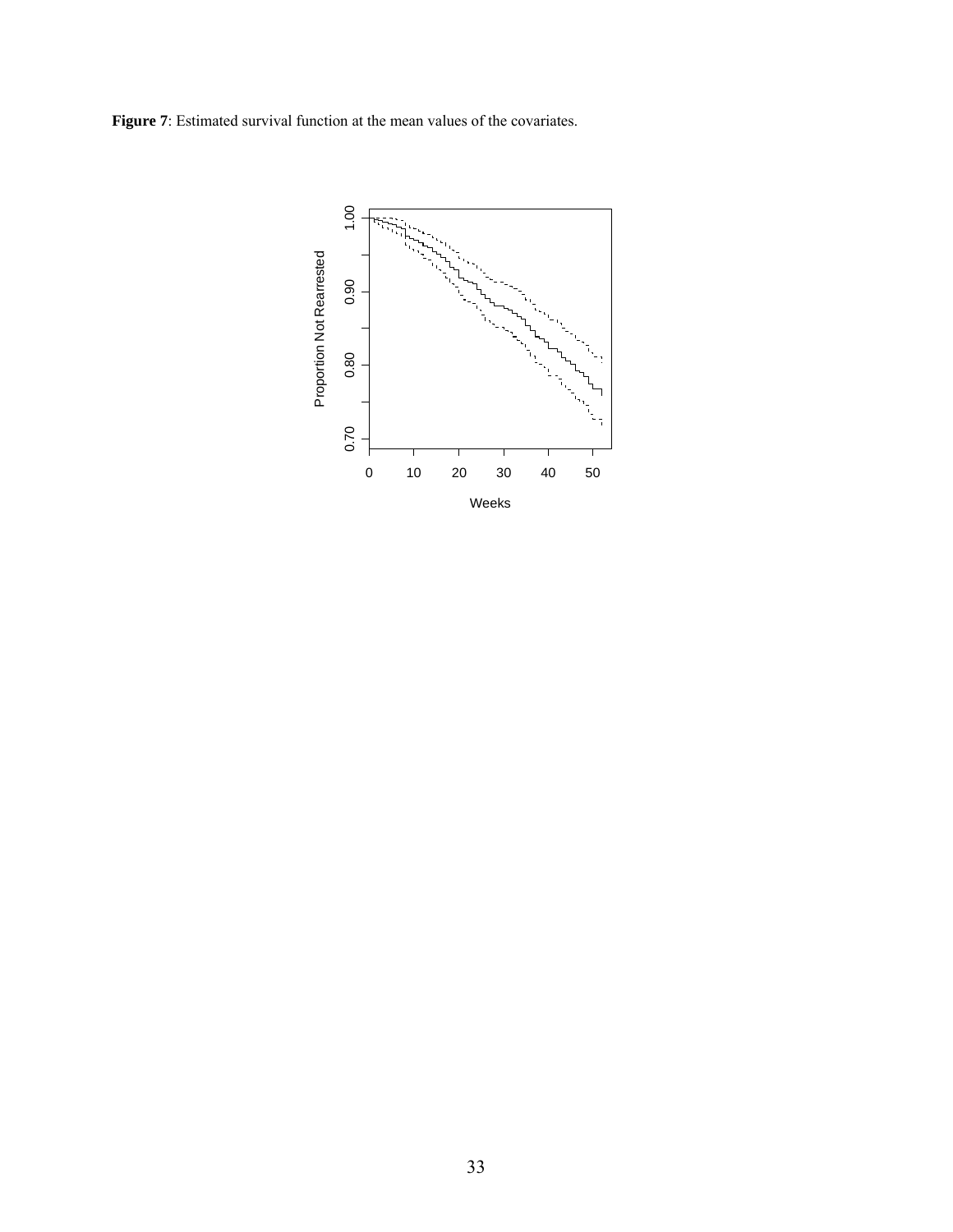**Figure 7**: Estimated survival function at the mean values of the covariates.

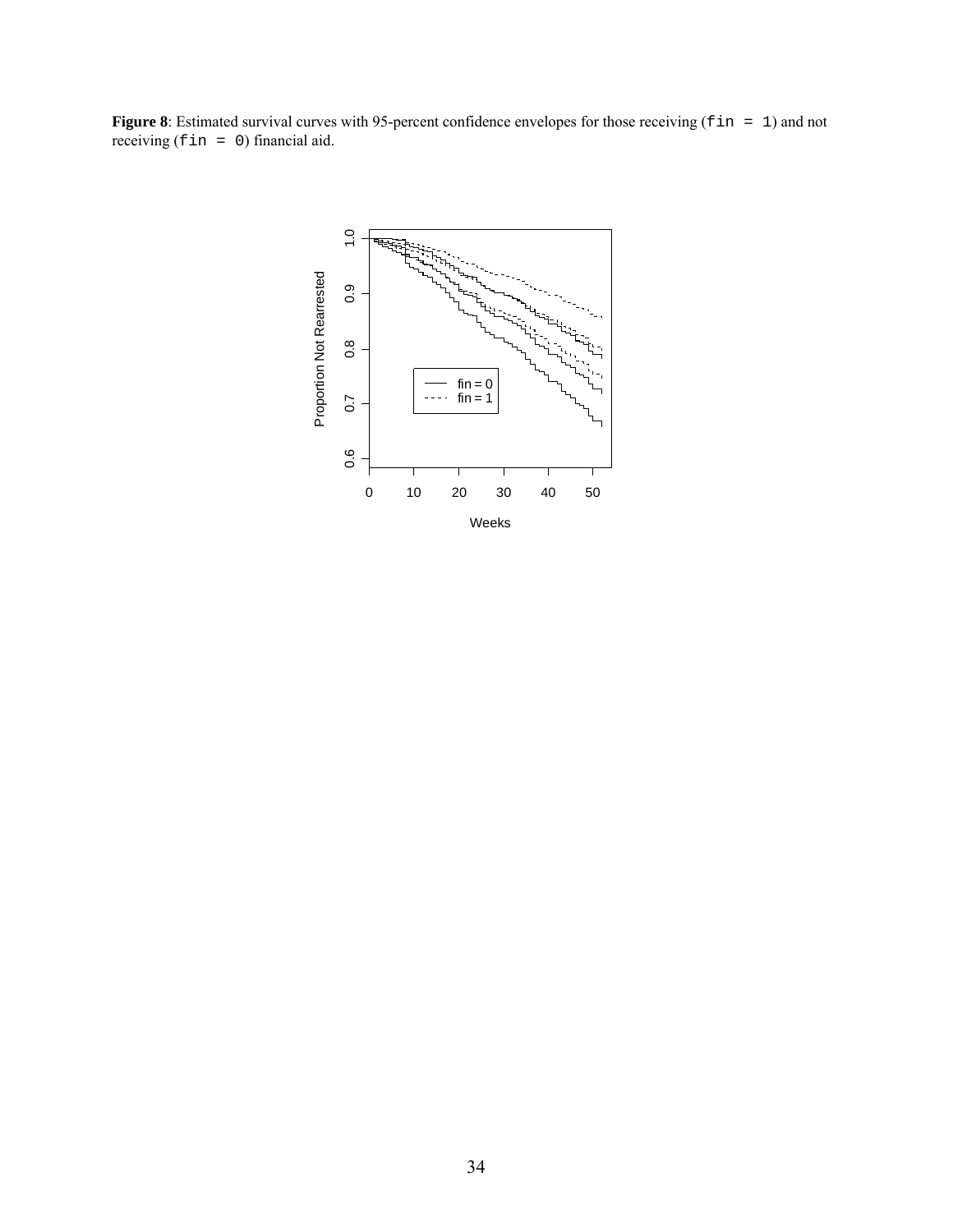**Figure 8**: Estimated survival curves with 95-percent confidence envelopes for those receiving (fin = 1) and not receiving  $(f \nin = 0)$  financial aid.